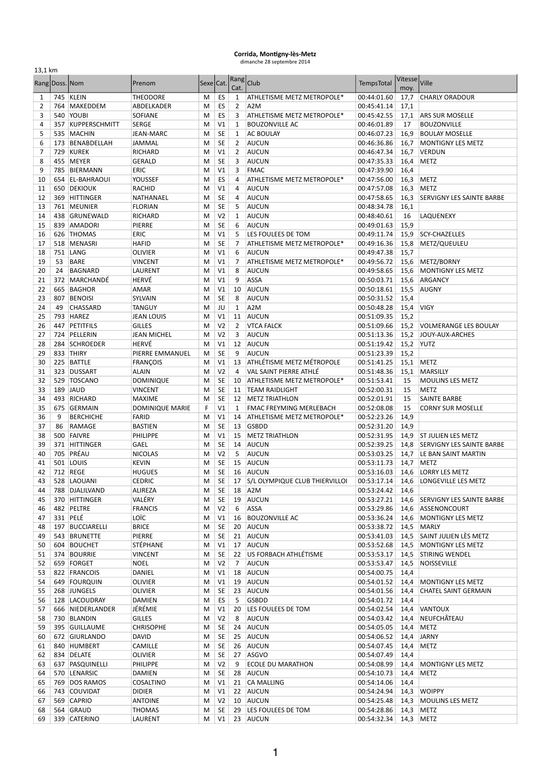## **Corrida, Montigny-lès-Metz**<br>
dimanche 28 septembre 2014

| 13,1 km             |                |                           |                     |           |                             |                     |                                       |                            |                        |                              |
|---------------------|----------------|---------------------------|---------------------|-----------|-----------------------------|---------------------|---------------------------------------|----------------------------|------------------------|------------------------------|
|                     | Rang Doss. Nom |                           | Prenom              | Sexe Cat. |                             | Rang<br>Cat.        | Club                                  | <b>TempsTotal</b>          | <b>Vitesse</b><br>moy. | Ville                        |
| 1                   |                | 745 KLEIN                 | <b>THEODORE</b>     | M         | ES                          | 1                   | ATHLETISME METZ METROPOLE*            | 00:44:01.60                | 17,7                   | <b>CHARLY ORADOUR</b>        |
| $\overline{2}$      |                | 764 MAKEDDEM              | ABDELKADER          | M         | ES                          | $\overline{2}$      | A <sub>2</sub> M                      | 00:45:41.14                | 17,1                   |                              |
| 3                   |                | 540 YOUBI                 | SOFIANE             | M         | ES                          | 3                   | ATHLETISME METZ METROPOLE*            | 00:45:42.55                | 17,1                   | <b>ARS SUR MOSELLE</b>       |
| 4                   |                | 357 KUPPERSCHMITT         | <b>SERGE</b>        | M         | V <sub>1</sub>              | 1                   | <b>BOUZONVILLE AC</b>                 | 00:46:01.89                | 17                     | <b>BOUZONVILLE</b>           |
| 5                   | 535            | MACHIN                    | JEAN-MARC           | м         | <b>SE</b>                   | $\mathbf{1}$        | <b>AC BOULAY</b>                      | 00:46:07.23                | 16,9                   | <b>BOULAY MOSELLE</b>        |
| 6                   |                | 173 BENABDELLAH           | JAMMAL              | М         | <b>SE</b>                   | $\overline{2}$      | <b>AUCUN</b>                          | 00:46:36.86                | 16,7                   | <b>MONTIGNY LES METZ</b>     |
| $\overline{7}$<br>8 |                | 729 KUREK<br>455 MEYER    | RICHARD<br>GERALD   | M<br>M    | V <sub>1</sub><br><b>SE</b> | $\overline{2}$<br>3 | <b>AUCUN</b><br><b>AUCUN</b>          | 00:46:47.34<br>00:47:35.33 | 16,7<br>16,4           | <b>VERDUN</b><br><b>METZ</b> |
| 9                   | 785            | BIERMANN                  | ERIC                | M         | V <sub>1</sub>              | 3                   | <b>FMAC</b>                           | 00:47:39.90                | 16,4                   |                              |
| 10                  | 654            | <b>EL-BAHRAOUI</b>        | YOUSSEF             | М         | ES                          | $\overline{4}$      | ATHLETISME METZ METROPOLE*            | 00:47:56.00                | 16,3                   | <b>METZ</b>                  |
| 11                  |                | 650 DEKIOUK               | RACHID              | М         | V <sub>1</sub>              | 4                   | <b>AUCUN</b>                          | 00:47:57.08                | 16,3                   | <b>METZ</b>                  |
| 12                  |                | 369 HITTINGER             | NATHANAEL           | M         | SE                          | 4                   | AUCUN                                 | 00:47:58.65                | 16,3                   | SERVIGNY LES SAINTE BARBE    |
| 13                  |                | 761 MEUNIER               | <b>FLORIAN</b>      | M         | <b>SE</b>                   | 5                   | <b>AUCUN</b>                          | 00:48:34.78                | 16,1                   |                              |
| 14                  |                | 438 GRUNEWALD             | RICHARD             | M         | V <sub>2</sub>              | 1                   | <b>AUCUN</b>                          | 00:48:40.61                | 16                     | LAQUENEXY                    |
| 15                  |                | 839 AMADORI               | PIERRE              | M         | <b>SE</b>                   | 6                   | <b>AUCUN</b>                          | 00:49:01.63                | 15,9                   |                              |
| 16                  | 626            | <b>THOMAS</b>             | ERIC                | M         | V <sub>1</sub>              | 5                   | LES FOULEES DE TOM                    | 00:49:11.74                | 15,9                   | <b>SCY-CHAZELLES</b>         |
| 17                  |                | 518 MENASRI               | HAFID               | м         | <b>SE</b>                   | 7                   | ATHLETISME METZ METROPOLE*            | 00:49:16.36                | 15,8                   | METZ/QUEULEU                 |
| 18                  |                | 751 LANG                  | OLIVIER             | M         | V <sub>1</sub>              | 6                   | <b>AUCUN</b>                          | 00:49:47.38                | 15,7                   |                              |
| 19                  | 53             | <b>BARE</b>               | VINCENT             | M         | V <sub>1</sub>              | $\overline{7}$      | ATHLETISME METZ METROPOLE*            | 00:49:56.72                | 15,6                   | METZ/BORNY                   |
| 20                  | 24             | <b>BAGNARD</b>            | LAURENT             | М         | V <sub>1</sub>              | 8                   | <b>AUCUN</b>                          | 00:49:58.65                | 15,6                   | <b>MONTIGNY LES METZ</b>     |
| 21                  | 372            | MARCHANDÉ                 | HERVÉ               | м         | V <sub>1</sub>              | 9                   | <b>ASSA</b>                           | 00:50:03.71                | 15,6                   | ARGANCY                      |
| 22                  | 665            | <b>BAGHOR</b>             | <b>AMAR</b>         | м         | V <sub>1</sub>              | 10                  | AUCUN                                 | 00:50:18.61                | 15,5                   | <b>AUGNY</b>                 |
| 23                  | 807            | <b>BENOISI</b>            | SYLVAIN             | M         | <b>SE</b>                   | 8                   | <b>AUCUN</b>                          | 00:50:31.52                | 15,4                   |                              |
| 24                  | 49             | CHASSARD                  | <b>TANGUY</b>       | M         | JU                          | $\mathbf{1}$        | A <sub>2</sub> M                      | 00:50:48.28                | 15,4                   | <b>VIGY</b>                  |
| 25                  | 793            | <b>HAREZ</b>              | <b>JEAN LOUIS</b>   | М         | V <sub>1</sub>              | 11                  | AUCUN                                 | 00:51:09.35                | 15,2                   |                              |
| 26                  |                | 447 PETITFILS             | <b>GILLES</b>       | M         | V <sub>2</sub>              | $\overline{2}$      | <b>VTCA FALCK</b>                     | 00:51:09.66                | 15,2                   | <b>VOLMERANGE LES BOULAY</b> |
| 27                  | 724            | PELLERIN                  | <b>JEAN MICHEL</b>  | М         | V <sub>2</sub>              | 3                   | <b>AUCUN</b>                          | 00:51:13.36                | 15,2                   | JOUY-AUX-ARCHES              |
| 28                  | 284            | <b>SCHROEDER</b>          | HERVÉ               | М         | V <sub>1</sub>              | 12                  | AUCUN                                 | 00:51:19.42                | 15,2                   | <b>YUTZ</b>                  |
| 29                  |                | 833 THIRY                 | PIERRE EMMANUEL     | М         | <b>SE</b>                   | 9                   | <b>AUCUN</b>                          | 00:51:23.39                | 15,2                   |                              |
| 30                  | 225            | <b>BATTLE</b>             | <b>FRANÇOIS</b>     | м         | V <sub>1</sub>              | 13                  | <b>ATHLÉTISME METZ MÉTROPOLE</b>      | 00:51:41.25                | 15,1                   | <b>METZ</b>                  |
| 31                  |                | 323 DUSSART               | ALAIN               | м         | V <sub>2</sub>              | $\overline{4}$      | VAL SAINT PIERRE ATHLÉ                | 00:51:48.36                | 15,1                   | <b>MARSILLY</b>              |
| 32                  |                | 529 TOSCANO               | DOMINIQUE           | M         | <b>SE</b>                   | 10                  | ATHLETISME METZ METROPOLE*            | 00:51:53.41                | 15                     | <b>MOULINS LES METZ</b>      |
| 33                  | 189            | <b>JAUD</b>               | VINCENT             | M         | <b>SE</b>                   | 11                  | <b>TEAM RAIDLIGHT</b>                 | 00:52:00.31                | 15                     | METZ                         |
| 34                  |                | 493 RICHARD               | <b>MAXIME</b>       | М         | <b>SE</b>                   | 12                  | <b>METZ TRIATHLON</b>                 | 00:52:01.91                | 15                     | SAINTE BARBE                 |
| 35                  |                | 675 GERMAIN               | DOMINIQUE MARIE     | F         | V <sub>1</sub>              | 1                   | <b>FMAC FREYMING MERLEBACH</b>        | 00:52:08.08                | 15                     | <b>CORNY SUR MOSELLE</b>     |
| 36                  | 9              | <b>BERCHICHE</b>          | FARID               | м         | V <sub>1</sub>              | 14                  | ATHLETISME METZ METROPOLE*            | 00:52:23.26                | 14,9                   |                              |
| 37<br>38            | 86<br>500      | RAMAGE<br>FAIVRE          | BASTIEN<br>PHILIPPE | M         | <b>SE</b><br>V <sub>1</sub> | 13<br>15            | <b>GSBDD</b><br><b>METZ TRIATHLON</b> | 00:52:31.20<br>00:52:31.95 | 14,9                   | <b>ST JULIEN LES METZ</b>    |
| 39                  |                | 371 HITTINGER             | GAEL                | м<br>M    | <b>SE</b>                   | 14                  | <b>AUCUN</b>                          | 00:52:39.25                | 14,9<br>14,8           | SERVIGNY LES SAINTE BARBE    |
| 40                  |                | 705 PRÉAU                 | <b>NICOLAS</b>      | M         | V <sub>2</sub>              | 5                   | <b>AUCUN</b>                          | 00:53:03.25                | 14,7                   | LE BAN SAINT MARTIN          |
| 41                  |                | 501 LOUIS                 | <b>KEVIN</b>        | M         | <b>SE</b>                   | 15                  | AUCUN                                 | 00:53:11.73                | 14,7                   | <b>METZ</b>                  |
| 42                  |                | 712 REGE                  | <b>HUGUES</b>       | M         | <b>SE</b>                   | 16                  | AUCUN                                 | 00:53:16.03                | 14,6                   | <b>LORRY LES METZ</b>        |
| 43                  |                | 528 LAOUANI               | <b>CEDRIC</b>       | ${\sf M}$ | SE                          | 17                  | S/L OLYMPIQUE CLUB THIERVILLOI        | 00:53:17.14                |                        | 14,6 LONGEVILLE LES METZ     |
| 44                  |                | 788 DJALILVAND            | ALIREZA             | M         | SE                          | 18                  | A <sub>2</sub> M                      | 00:53:24.42                | 14,6                   |                              |
| 45                  |                | 370 HITTINGER             | VALÉRY              | M         | SE                          | 19                  | <b>AUCUN</b>                          | 00:53:27.21                | 14,6                   | SERVIGNY LES SAINTE BARBE    |
| 46                  |                | 482 PELTRE                | <b>FRANCIS</b>      | M         | V <sub>2</sub>              | 6                   | <b>ASSA</b>                           | 00:53:29.86                | 14,6                   | ASSENONCOURT                 |
| 47                  |                | 331 PELÉ                  | LOÏC                | M         | V1                          | 16                  | <b>BOUZONVILLE AC</b>                 | 00:53:36.24                | 14,6                   | MONTIGNY LES METZ            |
| 48                  |                | 197 BUCCIARELLI           | <b>BRICE</b>        | M         | <b>SE</b>                   | 20                  | AUCUN                                 | 00:53:38.72                | 14,5                   | <b>MARLY</b>                 |
| 49                  |                | 543 BRUNETTE              | PIERRE              | M         | <b>SE</b>                   |                     | 21 AUCUN                              | 00:53:41.03                | 14,5                   | SAINT JULIEN LÈS METZ        |
| 50                  |                | 604 BOUCHET               | STÉPHANE            | M         | V1                          | 17                  | <b>AUCUN</b>                          | 00:53:52.68                | 14,5                   | <b>MONTIGNY LES METZ</b>     |
| 51                  |                | 374 BOURRIE               | <b>VINCENT</b>      | М         | <b>SE</b>                   |                     | 22 US FORBACH ATHLÉTISME              | 00:53:53.17                | 14,5                   | <b>STIRING WENDEL</b>        |
| 52                  |                | 659 FORGET                | <b>NOEL</b>         | м         | V <sub>2</sub>              | $\overline{7}$      | <b>AUCUN</b>                          | 00:53:53.47                | 14,5                   | NOISSEVILLE                  |
| 53                  |                | 822 FRANCOIS              | DANIEL              | М         | V1                          | 18                  | AUCUN                                 | 00:54:00.75                | 14,4                   |                              |
| 54                  |                | 649 FOURQUIN              | OLIVIER             | M         | V1                          | 19                  | AUCUN                                 | 00:54:01.52                | 14,4                   | <b>MONTIGNY LES METZ</b>     |
| 55                  |                | 268 JUNGELS               | OLIVIER             | M         | <b>SE</b>                   | 23                  | AUCUN                                 | 00:54:01.56                | 14,4                   | CHATEL SAINT GERMAIN         |
| 56                  |                | 128 LACOUDRAY             | <b>DAMIEN</b>       | M         | ES                          | 5                   | <b>GSBDD</b>                          | 00:54:01.72                | 14,4                   |                              |
| 57                  |                | 666 NIEDERLANDER          | JÉRÉMIE             | M         | V1                          | 20                  | LES FOULEES DE TOM                    | 00:54:02.54                | 14,4                   | <b>VANTOUX</b>               |
| 58                  |                | 730 BLANDIN               | <b>GILLES</b>       | M         | V <sub>2</sub>              | 8                   | <b>AUCUN</b>                          | 00:54:03.42                | 14,4                   | NEUFCHÂTEAU                  |
| 59                  |                | 395 GUILLAUME             | <b>CHRISOPHE</b>    | M         | <b>SE</b>                   |                     | 24 AUCUN                              | 00:54:05.05                | 14,4                   | <b>METZ</b>                  |
| 60                  |                | 672 GIURLANDO             | DAVID               | М         | <b>SE</b><br><b>SE</b>      | 25                  | AUCUN                                 | 00:54:06.52                | 14,4                   | <b>JARNY</b>                 |
| 61                  |                | 840 HUMBERT<br>834 DELATE | CAMILLE             | M         |                             | 26<br>27            | AUCUN<br>ASGVO                        | 00:54:07.45<br>00:54:07.49 | 14,4                   | <b>METZ</b>                  |
| 62<br>63            |                | 637 PASQUINELLI           | OLIVIER<br>PHILIPPE | M<br>M    | <b>SE</b><br>V <sub>2</sub> | 9                   | <b>ECOLE DU MARATHON</b>              | 00:54:08.99                | 14,4<br>14,4           | <b>MONTIGNY LES METZ</b>     |
| 64                  |                | 570 LENARSIC              | DAMIEN              | M         | <b>SE</b>                   | 28                  | AUCUN                                 | 00:54:10.73                | 14,4                   | <b>METZ</b>                  |
| 65                  |                | 769 DOS RAMOS             | COSALTINO           | М         | V1                          | 21                  | <b>CA MALLING</b>                     | 00:54:14.06                | 14,4                   |                              |
| 66                  |                | 743 COUVIDAT              | <b>DIDIER</b>       | M         | V1                          |                     | 22 AUCUN                              | 00:54:24.94                | 14,3                   | <b>WOIPPY</b>                |
| 67                  |                | 569 CAPRIO                | <b>ANTOINE</b>      | М         | V <sub>2</sub>              | 10                  | AUCUN                                 | 00:54:25.48                | 14,3                   | <b>MOULINS LES METZ</b>      |
| 68                  |                | 564 GRAUD                 | <b>THOMAS</b>       | M         | <b>SE</b>                   | 29                  | LES FOULEES DE TOM                    | 00:54:28.86                |                        | 14,3 METZ                    |
| 69                  |                | 339 CATERINO              | LAURENT             | М         | V1                          |                     | 23 AUCUN                              | 00:54:32.34                |                        | 14,3 METZ                    |
|                     |                |                           |                     |           |                             |                     |                                       |                            |                        |                              |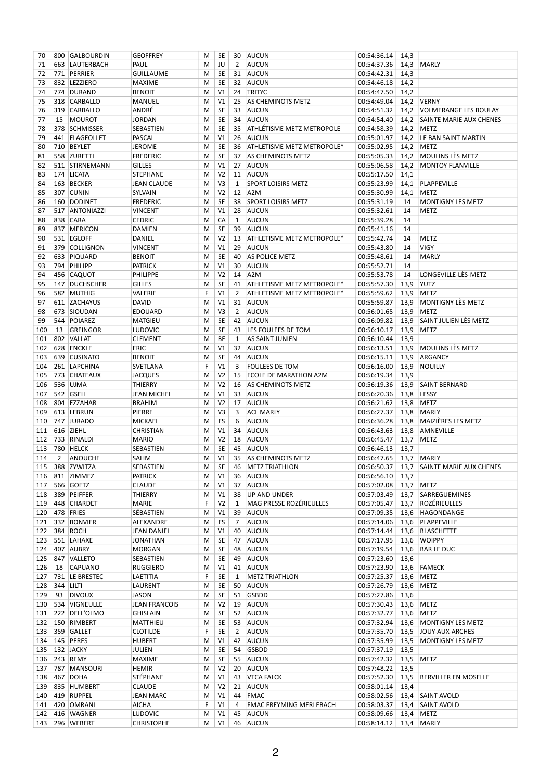| 70         |               | 800 GALBOURDIN               | <b>GEOFFREY</b>          | M      | SE             | 30             | AUCUN                            | 00:54:36.14                | 14,3         |                                          |
|------------|---------------|------------------------------|--------------------------|--------|----------------|----------------|----------------------------------|----------------------------|--------------|------------------------------------------|
| 71         |               | 663 LAUTERBACH               | PAUL                     | M      | JU             | $\overline{2}$ | <b>AUCUN</b>                     | 00:54:37.36                | 14,3         | MARLY                                    |
| 72         |               | 771 PERRIER                  | <b>GUILLAUME</b>         | M      | <b>SE</b>      | 31             | AUCUN                            | 00:54:42.31                | 14,3         |                                          |
| 73         |               | 832 LEZZIERO                 | <b>MAXIME</b>            | M      | <b>SE</b>      | 32             | AUCUN                            | 00:54:46.18                | 14,2         |                                          |
| 74         |               | 774 DURAND                   | <b>BENOIT</b>            | M      | V <sub>1</sub> | 24             | <b>TRITYC</b>                    | 00:54:47.50                | 14,2         |                                          |
| 75         |               | 318 CARBALLO                 | MANUEL                   | M      | V <sub>1</sub> | 25             | AS CHEMINOTS METZ                | 00:54:49.04                | 14,2         | <b>VERNY</b>                             |
| 76         |               | 319 CARBALLO                 | ANDRÉ                    | M      | <b>SE</b>      | 33             | AUCUN                            | 00:54:51.32                | 14,2         | <b>VOLMERANGE LES BOULAY</b>             |
| 77         | 15            | MOUROT                       | <b>JORDAN</b>            | M      | <b>SE</b>      | 34             | AUCUN                            | 00:54:54.40                | 14,2         | SAINTE MARIE AUX CHENES                  |
| 78         |               | 378 SCHMISSER                | SEBASTIEN                | M      | <b>SE</b>      | 35             | <b>ATHLÉTISME METZ METROPOLE</b> | 00:54:58.39                |              | 14,2 METZ                                |
| 79         |               | 441 FLAGEOLLET               | PASCAL                   | M      | V <sub>1</sub> | 26             | AUCUN                            | 00:55:01.97                | 14,2         | LE BAN SAINT MARTIN                      |
| 80         |               | 710 BEYLET                   | <b>JEROME</b>            | M      | <b>SE</b>      | 36             | ATHLETISME METZ METROPOLE*       | 00:55:02.95                | 14,2         | <b>METZ</b>                              |
| 81         |               | 558 ZURETTI                  | <b>FREDERIC</b>          | M      | <b>SE</b>      | 37             | <b>AS CHEMINOTS METZ</b>         | 00:55:05.33                | 14,2         | <b>MOULINS LÈS METZ</b>                  |
| 82         |               | 511 STIRNEMANN               | <b>GILLES</b>            | M      | V <sub>1</sub> | 27             | AUCUN                            | 00:55:06.58                | 14,2         | <b>MONTOY FLANVILLE</b>                  |
| 83         |               | 174 LICATA                   | <b>STEPHANE</b>          | M      | V <sub>2</sub> | 11             | <b>AUCUN</b>                     | 00:55:17.50                | 14,1         |                                          |
| 84         |               | 163 BECKER                   | <b>JEAN CLAUDE</b>       | M      | V <sub>3</sub> | 1              | <b>SPORT LOISIRS METZ</b>        | 00:55:23.99                | 14,1         | PLAPPEVILLE                              |
| 85         | 307           | <b>CUNIN</b>                 | <b>SYLVAIN</b>           | M      | V <sub>2</sub> | 12             | A <sub>2</sub> M                 | 00:55:30.99                | 14,1         | <b>METZ</b>                              |
| 86         |               | 160 DODINET                  | <b>FREDERIC</b>          | M      | <b>SE</b>      | 38             | <b>SPORT LOISIRS METZ</b>        | 00:55:31.19                | 14           | MONTIGNY LES METZ                        |
| 87         |               | 517 ANTONIAZZI               | <b>VINCENT</b>           | M      | V <sub>1</sub> | 28             | AUCUN                            | 00:55:32.61                | 14           | <b>METZ</b>                              |
| 88         |               | 838 CARA                     | <b>CEDRIC</b>            | M      | CA             | 1              | <b>AUCUN</b>                     | 00:55:39.28                | 14           |                                          |
| 89         |               | 837 MERICON                  | DAMIEN                   | M      | <b>SE</b>      | 39             | AUCUN                            | 00:55:41.16                | 14           |                                          |
| 90         |               | 531 EGLOFF                   | DANIEL                   | M      | V <sub>2</sub> | 13             | ATHLETISME METZ METROPOLE*       | 00:55:42.74                | 14           | <b>METZ</b>                              |
| 91         |               | 379 COLLIGNON                | <b>VINCENT</b>           | M      | V <sub>1</sub> | 29             | AUCUN                            | 00:55:43.80                | 14           | <b>VIGY</b>                              |
| 92         |               | 633 PIQUARD                  | <b>BENOIT</b>            | M      | <b>SE</b>      | 40             | <b>AS POLICE METZ</b>            | 00:55:48.61                | 14           | <b>MARLY</b>                             |
| 93         |               | 794 PHILIPP                  | <b>PATRICK</b>           | M      | V <sub>1</sub> | 30             | AUCUN                            | 00:55:52.71                | 14           |                                          |
| 94         |               | 456 CAQUOT                   | <b>PHILIPPE</b>          | М      | V <sub>2</sub> | 14             | A <sub>2</sub> M                 | 00:55:53.78                | 14           | LONGEVILLE-LÈS-METZ                      |
| 95         |               | 147 DUCHSCHER                | <b>GILLES</b>            | M      | <b>SE</b>      | 41             | ATHLETISME METZ METROPOLE*       | 00:55:57.30                | 13,9         | <b>YUTZ</b>                              |
| 96         |               | 582 MUTHIG                   | VALERIE                  | F      | V <sub>1</sub> | $\overline{2}$ | ATHLETISME METZ METROPOLE*       | 00:55:59.62                | 13,9         | <b>METZ</b>                              |
| 97         |               | 611 ZACHAYUS                 | <b>DAVID</b>             | M      | V1             | 31             | AUCUN                            | 00:55:59.87                | 13,9         | MONTIGNY-LÈS-METZ                        |
| 98         |               | 673 SIOUDAN                  | <b>EDOUARD</b>           | M      | V <sub>3</sub> | $\overline{2}$ | AUCUN                            | 00:56:01.65                | 13,9         | <b>METZ</b>                              |
| 99         |               | 544 POIAREZ                  | MATGIEU                  | M      | <b>SE</b>      | 42             | AUCUN                            | 00:56:09.82                | 13,9         | SAINT JULIEN LÈS METZ                    |
| 100        | 13            | <b>GREINGOR</b>              | <b>LUDOVIC</b>           | M      | <b>SE</b>      | 43             | LES FOULEES DE TOM               | 00:56:10.17                | 13,9         | <b>METZ</b>                              |
| 101        |               | 802 VALLAT                   | <b>CLEMENT</b>           | M      | BE             | 1              | AS SAINT-JUNIEN                  | 00:56:10.44                | 13,9         |                                          |
| 102        |               | 628 ENCKLE                   | ERIC                     | M      | V <sub>1</sub> | 32             | AUCUN                            | 00:56:13.51                | 13,9         | MOULINS LÈS METZ                         |
| 103        |               | 639 CUSINATO                 | <b>BENOIT</b>            | M      | <b>SE</b>      | 44             | AUCUN                            | 00:56:15.11                | 13,9         | ARGANCY                                  |
| 104        |               | 261 LAPCHINA                 | SVETLANA                 | F      | V <sub>1</sub> | 3              | <b>FOULEES DE TOM</b>            | 00:56:16.00                | 13,9         | NOUILLY                                  |
| 105        |               | 773 CHATEAUX                 | <b>JACQUES</b>           | M      | V <sub>2</sub> | 15             | ECOLE DE MARATHON A2M            | 00:56:19.34                | 13,9         |                                          |
| 106        |               | 536 UJMA                     | THIERRY                  | M      | V <sub>2</sub> | 16             | AS CHEMINOTS METZ                | 00:56:19.36                | 13,9         | <b>SAINT BERNARD</b>                     |
| 107        |               | 542 GSELL                    | <b>JEAN MICHEL</b>       | M      | V <sub>1</sub> | 33             | AUCUN                            | 00:56:20.36                | 13,8         | LESSY                                    |
| 108        |               | 804 EZZAHAR                  | <b>BRAHIM</b>            | М      | V <sub>2</sub> | 17             | AUCUN                            | 00:56:21.62                | 13,8         | <b>METZ</b>                              |
| 109        |               | 613 LEBRUN                   | PIERRE                   | M      | V <sub>3</sub> | 3              | <b>ACL MARLY</b>                 | 00:56:27.37                | 13,8         | MARLY                                    |
| 110        |               | 747 JURADO                   | <b>MICKAEL</b>           | M      | ES             | 6              | <b>AUCUN</b>                     | 00:56:36.28                | 13,8         | MAIZIÈRES LES METZ                       |
| 111        |               | 616 ZIEHL                    | CHRISTIAN                | M      | V <sub>1</sub> | 34             | AUCUN                            | 00:56:43.63                | 13,8         | AMNEVILLE                                |
| 112        |               | 733 RINALDI                  | <b>MARIO</b>             | M      | V <sub>2</sub> | 18             | AUCUN                            | 00:56:45.47                | 13,7         | <b>METZ</b>                              |
| 113        |               | 780 HELCK                    | SEBASTIEN                | M      | <b>SE</b>      | 45             | AUCUN                            | 00:56:46.13                | 13,7         |                                          |
| 114        | $2^{\circ}$   | ANOUCHE                      | SALIM                    | M      | V1             | 35             | <b>AS CHEMINOTS METZ</b>         | 00:56:47.65                |              | 13,7 MARLY                               |
|            |               | 115 388 ZYWITZA              | SEBASTIEN                | M      | SE             |                | 46 METZ TRIATHLON                |                            |              | 00:56:50.37 13,7 SAINTE MARIE AUX CHENES |
|            |               | 116   811   ZIMMEZ           | <b>PATRICK</b>           | M      | V1             | 36             | AUCUN                            | 00:56:56.10                | 13,7         |                                          |
| 117        |               | 566 GOETZ                    | <b>CLAUDE</b>            | M      | V1             | 37             | <b>AUCUN</b>                     | 00:57:02.08                |              | 13,7 METZ                                |
| 118        |               | 389 PEIFFER<br>448 CHARDET   | THIERRY                  | M<br>F | V1             | 38             | <b>UP AND UNDER</b>              | 00:57:03.49                | 13,7         | SARREGUEMINES<br>ROZÉRIEULLES            |
| 119        |               |                              | <b>MARIE</b>             |        | V <sub>2</sub> | 1              | MAG PRESSE ROZÉRIEULLES          | 00:57:05.47                | 13,7         |                                          |
|            |               | 120 478 FRIES<br>332 BONVIER | SÉBASTIEN                | М      | V1             | 39<br>7        | AUCUN<br><b>AUCUN</b>            | 00:57:09.35<br>00:57:14.06 | 13,6         | HAGONDANGE<br>PLAPPEVILLE                |
| 121<br>122 |               | 384 ROCH                     | ALEXANDRE<br>JEAN DANIEL | M<br>M | ES<br>V1       | 40             | <b>AUCUN</b>                     | 00:57:14.44                | 13,6<br>13,6 | <b>BLASCHETTE</b>                        |
| 123        |               | 551 LAHAXE                   | <b>JONATHAN</b>          | M      | SE             | 47             | AUCUN                            | 00:57:17.95                | 13,6         | <b>WOIPPY</b>                            |
| 124        |               | 407 AUBRY                    | MORGAN                   | М      | <b>SE</b>      | 48             | AUCUN                            | 00:57:19.54                | 13,6         | <b>BAR LE DUC</b>                        |
| 125        |               | 847 VALLETO                  | SEBASTIEN                | M      | <b>SE</b>      | 49             | AUCUN                            | 00:57:23.60                | 13,6         |                                          |
| 126        | 18            | <b>CAPUANO</b>               | <b>RUGGIERO</b>          | М      | V1             | 41             | AUCUN                            | 00:57:23.90                | 13,6         | FAMECK                                   |
| 127        |               | 731 LE BRESTEC               | LAETITIA                 | F      | SE             | 1              | <b>METZ TRIATHLON</b>            | 00:57:25.37                | 13,6         | <b>METZ</b>                              |
|            | 128 344 LILTI |                              | LAURENT                  | M      | SE             | 50             | AUCUN                            | 00:57:26.79                | 13,6         | <b>METZ</b>                              |
| 129        | 93            | <b>DIVOUX</b>                | JASON                    | М      | <b>SE</b>      | 51             | <b>GSBDD</b>                     | 00:57:27.86                | 13,6         |                                          |
|            |               | 130   534   VIGNEULLE        | <b>JEAN FRANCOIS</b>     | М      | V <sub>2</sub> | 19             | <b>AUCUN</b>                     | 00:57:30.43                | 13,6         | METZ                                     |
|            |               | 131 222 DELL'OLMO            | <b>GHISLAIN</b>          | М      | <b>SE</b>      | 52             | AUCUN                            | 00:57:32.77                | 13,6         | METZ                                     |
|            |               | 132   150   RIMBERT          | MATTHIEU                 | M      | <b>SE</b>      | 53             | <b>AUCUN</b>                     | 00:57:32.94                | 13,6         | MONTIGNY LES METZ                        |
| 133        |               | 359 GALLET                   | <b>CLOTILDE</b>          | F      | <b>SE</b>      | 2              | AUCUN                            | 00:57:35.70                | 13,5         | JOUY-AUX-ARCHES                          |
|            |               | 134 145 PERES                | <b>HUBERT</b>            | М      | V1             | 42             | AUCUN                            | 00:57:35.99                | 13,5         | MONTIGNY LES METZ                        |
|            |               | 135 132 JACKY                | JULIEN                   | M      | <b>SE</b>      | 54             | <b>GSBDD</b>                     | 00:57:37.19                | 13,5         |                                          |
|            |               | 136 243 REMY                 | MAXIME                   | M      | SE             | 55             | AUCUN                            | 00:57:42.32                | 13,5         | <b>METZ</b>                              |
| 137        |               | 787 MANSOURI                 | <b>HEMIR</b>             | М      | V <sub>2</sub> | 20             | AUCUN                            | 00:57:48.22                | 13,5         |                                          |
|            |               | 138 467 DOHA                 | STÉPHANE                 | М      | V1             | 43             | <b>VTCA FALCK</b>                | 00:57:52.30                | 13,5         | <b>BERVILLER EN MOSELLE</b>              |
| 139        |               | 835 HUMBERT                  | <b>CLAUDE</b>            | M      | V <sub>2</sub> | 21             | AUCUN                            | 00:58:01.14                | 13,4         |                                          |
| 140        |               | 419 RUPPEL                   | <b>JEAN MARC</b>         | M      | V1             | 44             | <b>FMAC</b>                      | 00:58:02.56                |              | 13,4 SAINT AVOLD                         |
| 141        |               | 420 OMRANI                   | AICHA                    | F      | V1             | $\overline{4}$ | FMAC FREYMING MERLEBACH          | 00:58:03.37                | 13,4         | <b>SAINT AVOLD</b>                       |
| 142        |               | 416 WAGNER                   | <b>LUDOVIC</b>           | M      | V1             | 45             | AUCUN                            | 00:58:09.66                | 13,4         | <b>METZ</b>                              |
| 143        |               | 296 WEBERT                   | <b>CHRISTOPHE</b>        | M      | V <sub>1</sub> | 46             | AUCUN                            | 00:58:14.12                |              | 13,4 MARLY                               |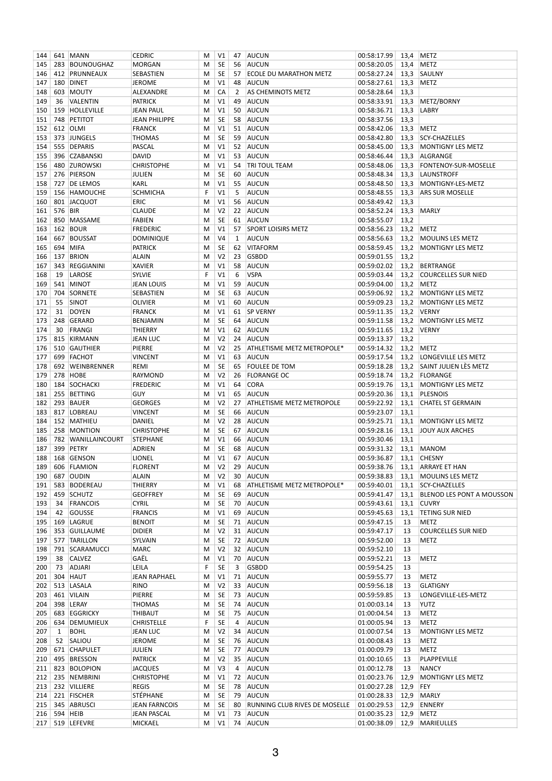| 144        |         | 641 MANN                | <b>CEDRIC</b>                 | м      | V <sub>1</sub> | 47             | AUCUN                            | 00:58:17.99                | 13,4 | METZ                           |
|------------|---------|-------------------------|-------------------------------|--------|----------------|----------------|----------------------------------|----------------------------|------|--------------------------------|
| 145        |         | 283 BOUNOUGHAZ          | <b>MORGAN</b>                 | M      | SE             | 56             | AUCUN                            | 00:58:20.05                | 13,4 | <b>METZ</b>                    |
| 146        |         | 412 PRUNNEAUX           | SEBASTIEN                     | М      | SE             | 57             | ECOLE DU MARATHON METZ           | 00:58:27.24                | 13,3 | SAULNY                         |
| 147        |         | 180 DINET               | <b>JEROME</b>                 | M      | V <sub>1</sub> | 48             | AUCUN                            | 00:58:27.61                | 13,3 | <b>METZ</b>                    |
| 148        | 603     | MOUTY                   | ALEXANDRE                     | M      | CA             | $\overline{2}$ | AS CHEMINOTS METZ                | 00:58:28.64                | 13,3 |                                |
| 149        | 36      | <b>VALENTIN</b>         | <b>PATRICK</b>                | М      | V <sub>1</sub> | 49             | AUCUN                            | 00:58:33.91                | 13,3 | METZ/BORNY                     |
| 150        |         | 159 HOLLEVILLE          | <b>JEAN PAUL</b>              | M      | V <sub>1</sub> | 50             | AUCUN                            | 00:58:36.71                | 13,3 | <b>LABRY</b>                   |
| 151        | 748     | <b>PETITOT</b>          | <b>JEAN PHILIPPE</b>          | М      | SE             | 58             | AUCUN                            | 00:58:37.56                | 13,3 |                                |
|            |         | 612 OLMI                |                               |        |                |                |                                  |                            |      |                                |
| 152        |         |                         | <b>FRANCK</b>                 | M      | V <sub>1</sub> | 51             | AUCUN                            | 00:58:42.06                | 13,3 | <b>METZ</b>                    |
| 153        |         | 373 JUNGELS             | <b>THOMAS</b>                 | M      | SE             | 59             | AUCUN                            | 00:58:42.80                | 13,3 | SCY-CHAZELLES                  |
| 154        |         | 555 DEPARIS             | PASCAL                        | M      | V <sub>1</sub> | 52             | AUCUN                            | 00:58:45.00                | 13,3 | <b>MONTIGNY LES METZ</b>       |
| 155        |         | 396 CZABANSKI           | <b>DAVID</b>                  | M      | V <sub>1</sub> | 53             | AUCUN                            | 00:58:46.44                | 13,3 | ALGRANGE                       |
| 156        |         | 480 ZUROWSKI            | <b>CHRISTOPHE</b>             | М      | V <sub>1</sub> | 54             | <b>TRI TOUL TEAM</b>             | 00:58:48.06                | 13,3 | <b>FONTENOY-SUR-MOSELLE</b>    |
| 157        |         | 276 PIERSON             | JULIEN                        | м      | SE             | 60             | AUCUN                            | 00:58:48.34                | 13,3 | LAUNSTROFF                     |
| 158        |         | 727 DE LEMOS            | KARL                          | M      | V <sub>1</sub> | 55             | AUCUN                            | 00:58:48.50                | 13,3 | MONTIGNY-LES-METZ              |
| 159        |         | 156 HAMOUCHE            | <b>SCHMICHA</b>               | F      | V <sub>1</sub> | 5              | <b>AUCUN</b>                     | 00:58:48.55                | 13,3 | <b>ARS SUR MOSELLE</b>         |
| 160        |         | 801 JACQUOT             | ERIC                          | М      | V <sub>1</sub> | 56             | AUCUN                            | 00:58:49.42                | 13,3 |                                |
| 161        | 576 BIR |                         | <b>CLAUDE</b>                 | M      | V <sub>2</sub> | 22             | AUCUN                            | 00:58:52.24                | 13,3 | MARLY                          |
| 162        |         | 850 MASSAME             | <b>FABIEN</b>                 | M      | <b>SE</b>      | 61             | AUCUN                            | 00:58:55.07                | 13,2 |                                |
|            |         |                         |                               |        |                |                |                                  |                            |      |                                |
| 163        |         | 162 BOUR                | <b>FREDERIC</b>               | M      | V <sub>1</sub> | 57             | <b>SPORT LOISIRS METZ</b>        | 00:58:56.23                | 13,2 | <b>METZ</b>                    |
| 164        |         | 667 BOUSSAT             | <b>DOMINIQUE</b>              | M      | V4             | $\mathbf{1}$   | <b>AUCUN</b>                     | 00:58:56.63                | 13,2 | MOULINS LES METZ               |
| 165        | 694     | <b>MIFA</b>             | <b>PATRICK</b>                | М      | SE             | 62             | <b>VITAFORM</b>                  | 00:58:59.45                | 13,2 | <b>MONTIGNY LES METZ</b>       |
| 166        | 137     | <b>BRION</b>            | <b>ALAIN</b>                  | М      | V <sub>2</sub> | 23             | <b>GSBDD</b>                     | 00:59:01.55                | 13,2 |                                |
| 167        | 343     | REGGIANINI              | <b>XAVIER</b>                 | M      | V <sub>1</sub> | 58             | AUCUN                            | 00:59:02.02                | 13,2 | BERTRANGE                      |
| 168        | 19      | LAROSE                  | <b>SYLVIE</b>                 | F      | V1             | 6              | <b>VSPA</b>                      | 00:59:03.44                | 13,2 | <b>COURCELLES SUR NIED</b>     |
| 169        |         | 541 MINOT               | <b>JEAN LOUIS</b>             | M      | V <sub>1</sub> | 59             | AUCUN                            | 00:59:04.00                | 13,2 | <b>METZ</b>                    |
| 170        |         | 704 SORNETE             | SEBASTIEN                     | M      | SE             | 63             | AUCUN                            | 00:59:06.92                | 13,2 | MONTIGNY LES METZ              |
|            |         |                         |                               |        |                |                |                                  |                            |      |                                |
| 171        | 55      | SINOT                   | <b>OLIVIER</b>                | M      | V <sub>1</sub> | 60             | AUCUN                            | 00:59:09.23                | 13,2 | <b>MONTIGNY LES METZ</b>       |
| 172        | 31      | <b>DOYEN</b>            | <b>FRANCK</b>                 | M      | V <sub>1</sub> | 61             | <b>SP VERNY</b>                  | 00:59:11.35                | 13,2 | <b>VERNY</b>                   |
| 173        | 248     | GERARD                  | <b>BENJAMIN</b>               | M      | SE             | 64             | AUCUN                            | 00:59:11.58                | 13,2 | <b>MONTIGNY LES METZ</b>       |
| 174        | 30      | FRANGI                  | <b>THIERRY</b>                | М      | V <sub>1</sub> | 62             | AUCUN                            | 00:59:11.65                | 13,2 | <b>VERNY</b>                   |
| 175        |         | 815 KIRMANN             | <b>JEAN LUC</b>               | M      | V <sub>2</sub> | 24             | AUCUN                            | 00:59:13.37                | 13,2 |                                |
| 176        |         | 510 GAUTHIER            | PIERRE                        | М      | V <sub>2</sub> | 25             | ATHLETISME METZ METROPOLE*       | 00:59:14.32                | 13,2 | <b>METZ</b>                    |
| 177        |         | 699 FACHOT              | <b>VINCENT</b>                | М      | V <sub>1</sub> | 63             | AUCUN                            | 00:59:17.54                |      | 13,2 LONGEVILLE LES METZ       |
| 178        |         | 692 WEINBRENNER         | REMI                          | M      | SE             | 65             | <b>FOULEE DE TOM</b>             | 00:59:18.28                |      | 13.2 SAINT JULIEN LÈS METZ     |
| 179        | 278     | HOBE                    | RAYMOND                       | M      | V <sub>2</sub> | 26             | <b>FLORANGE OC</b>               | 00:59:18.74                | 13,2 | FLORANGE                       |
|            |         |                         |                               |        |                |                |                                  |                            |      |                                |
| 180        |         | 184 SOCHACKI            | <b>FREDERIC</b>               | м      | V <sub>1</sub> | 64             | <b>CORA</b>                      | 00:59:19.76                | 13,1 | MONTIGNY LES METZ              |
| 181        |         | 255 BETTING             | GUY                           | M      | V <sub>1</sub> | 65             | AUCUN                            | 00:59:20.36                | 13,1 | PLESNOIS                       |
| 182        |         | 293 BAUER               | <b>GEORGES</b>                | M      | V <sub>2</sub> | 27             | <b>ATHLETISME METZ METROPOLE</b> | 00:59:22.92                | 13,1 | <b>CHATEL ST GERMAIN</b>       |
| 183        |         | 817 LOBREAU             | <b>VINCENT</b>                | M      | SE             | 66             | AUCUN                            | 00:59:23.07                | 13,1 |                                |
| 184        |         | 152 MATHIEU             | DANIEL                        | М      | V <sub>2</sub> | 28             | AUCUN                            | 00:59:25.71                | 13,1 | MONTIGNY LES METZ              |
| 185        |         | 258 MONTION             | <b>CHRISTOPHE</b>             | М      | SE             | 67             | AUCUN                            | 00:59:28.16                | 13,1 | JOUY AUX ARCHES                |
| 186        |         | 782 WANILLAINCOURT      | <b>STEPHANE</b>               | M      | V <sub>1</sub> | 66             | AUCUN                            | 00:59:30.46                | 13,1 |                                |
| 187        |         | 399 PETRY               | <b>ADRIEN</b>                 | М      | SE             | 68             | AUCUN                            | 00:59:31.32                | 13,1 | MANOM                          |
| 188        |         | 168 GENSON              | <b>LIONEL</b>                 | М      | V <sub>1</sub> |                | 67 AUCUN                         | 00:59:36.87                |      | 13,1 CHESNY                    |
|            |         |                         |                               | M      | V <sub>2</sub> |                | 29 AUCUN                         |                            |      | 00:59:38.76 13,1 ARRAYE ET HAN |
|            |         | 189 606 FLAMION         | <b>FLORENT</b>                |        |                |                |                                  |                            |      |                                |
| 190        |         | 687 OUDIN               | <b>ALAIN</b>                  | M      | V <sub>2</sub> | 30             | AUCUN                            | 00:59:38.83                | 13,1 | MOULINS LES METZ               |
| 191        | 583     | BODEREAU                | <b>THIERRY</b>                | M      | V1             | 68             | ATHLETISME METZ METROPOLE*       | 00:59:40.01                | 13,1 | SCY-CHAZELLES                  |
| 192        |         | 459 SCHUTZ              | <b>GEOFFREY</b>               | M      | SE             | 69             | AUCUN                            | 00:59:41.47                | 13,1 | BLENOD LES PONT A MOUSSON      |
| 193        | 34      | <b>FRANCOIS</b>         | <b>CYRIL</b>                  | M      | SE             | 70             | AUCUN                            | 00:59:43.61                | 13,1 | <b>CUVRY</b>                   |
| 194        | 42      | GOUSSE                  | <b>FRANCIS</b>                | M      | V1             | 69             | AUCUN                            | 00:59:45.63                | 13,1 | <b>TETING SUR NIED</b>         |
| 195        |         | 169 LAGRUE              | <b>BENOIT</b>                 | M      | SE             |                | 71 AUCUN                         | 00:59:47.15                | 13   | METZ                           |
| 196        |         | 353 GUILLAUME           | <b>DIDIER</b>                 | M      | V <sub>2</sub> | 31             | AUCUN                            | 00:59:47.17                | 13   | <b>COURCELLES SUR NIED</b>     |
| 197        |         | 577 TARILLON            | SYLVAIN                       | M      | SE             | 72             | AUCUN                            | 00:59:52.00                | 13   | METZ                           |
| 198        |         | 791 SCARAMUCCI          | <b>MARC</b>                   | M      | V <sub>2</sub> | 32             | AUCUN                            | 00:59:52.10                | 13   |                                |
| 199        | 38      | <b>CALVEZ</b>           | GAËL                          | м      | V1             | 70             | AUCUN                            | 00:59:52.21                | 13   | METZ                           |
|            |         |                         |                               |        |                |                |                                  |                            |      |                                |
| 200        | 73      | <b>ADJARI</b>           | LEILA                         | F      | SE             | 3              | <b>GSBDD</b>                     | 00:59:54.25                | 13   |                                |
| 201        |         | 304 HAUT                | <b>JEAN RAPHAEL</b>           | M      | V1             | 71             | AUCUN                            | 00:59:55.77                | 13   | METZ                           |
| 202        |         | 513 LASALA              | <b>RINO</b>                   | M      | V <sub>2</sub> | 33             | AUCUN                            | 00:59:56.18                | 13   | <b>GLATIGNY</b>                |
| 203        |         | 461 VILAIN              | PIERRE                        | M      | SE             | 73             | AUCUN                            | 00:59:59.85                | 13   | LONGEVILLE-LES-METZ            |
| 204        |         | 398 LERAY               | <b>THOMAS</b>                 | M      | SE             | 74             | <b>AUCUN</b>                     | 01:00:03.14                | 13   | <b>YUTZ</b>                    |
| 205        |         | 683 EGGRICKY            | THIBAUT                       | M      | SE             | 75             | AUCUN                            | 01:00:04.54                | 13   | METZ                           |
|            |         | 206   634   DEMUMIEUX   | <b>CHRISTELLE</b>             | F      | SE             | 4              | <b>AUCUN</b>                     | 01:00:05.94                | 13   | <b>METZ</b>                    |
| 207        | 1       | <b>BOHL</b>             | <b>JEAN LUC</b>               | M      | V <sub>2</sub> | 34             | AUCUN                            | 01:00:07.54                | 13   | MONTIGNY LES METZ              |
|            | 52      | SALIOU                  |                               |        | SE             | 76             | AUCUN                            | 01:00:08.43                |      | METZ                           |
| 208        |         |                         | JEROME                        | M      |                |                |                                  |                            | 13   |                                |
| 209        |         | 671 CHAPULET            | JULIEN                        | M      | SE             | 77             | <b>AUCUN</b>                     | 01:00:09.79                | 13   | METZ                           |
| 210        |         | 495 BRESSON             | <b>PATRICK</b>                | M      | V <sub>2</sub> | 35             | <b>AUCUN</b>                     | 01:00:10.65                | 13   | PLAPPEVILLE                    |
| 211        |         |                         |                               | M      | V3             | 4              | <b>AUCUN</b>                     | 01:00:12.78                | 13   | <b>NANCY</b>                   |
|            |         | 823 BOLOPION            | <b>JACQUES</b>                |        |                |                |                                  |                            |      |                                |
| 212        |         | 235 NEMBRINI            | <b>CHRISTOPHE</b>             | M      | V1             | 72             | <b>AUCUN</b>                     | 01:00:23.76                | 12,9 | <b>MONTIGNY LES METZ</b>       |
| 213        |         | 232 VILLIERE            | <b>REGIS</b>                  | M      | SE             | 78             | AUCUN                            | 01:00:27.28                | 12,9 | FEY                            |
|            |         |                         |                               |        |                | 79             |                                  |                            |      |                                |
| 214        |         | 221 FISCHER             | STÉPHANE                      | M      | SE             |                | <b>AUCUN</b>                     | 01:00:28.33                | 12,9 | <b>MARLY</b>                   |
| 215        |         | 345 ABRUSCI             | <b>JEAN FARNCOIS</b>          | M      | SE             | 80             | RUNNING CLUB RIVES DE MOSELLE    | 01:00:29.53                | 12,9 | <b>ENNERY</b>                  |
| 216<br>217 |         | 594 HEIB<br>519 LEFEVRE | <b>JEAN PASCAL</b><br>MICKAEL | М<br>м | V1<br>V1       | 73<br>74       | AUCUN<br><b>AUCUN</b>            | 01:00:35.23<br>01:00:38.09 | 12,9 | <b>METZ</b><br>12,9 MARIEULLES |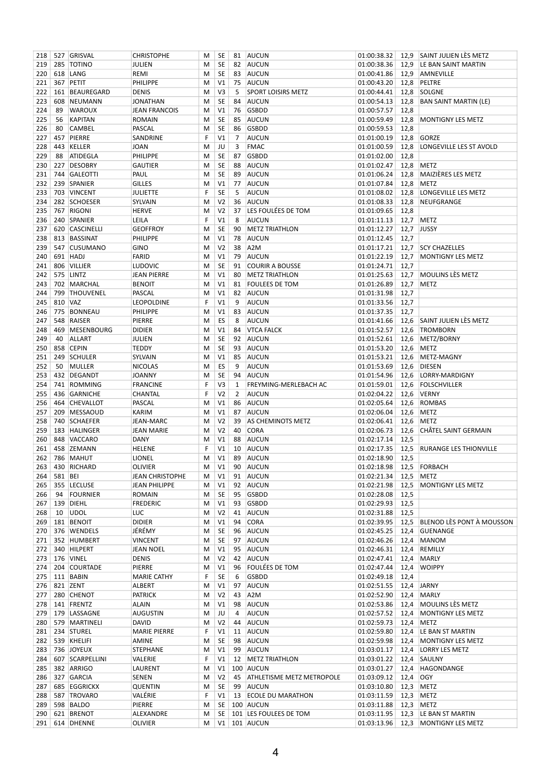| 218 |         | 527 GRISVAL         | <b>CHRISTOPHE</b>      | М | SE             | 81             | AUCUN                            | 01:00:38.32              |      | 12,9 SAINT JULIEN LÈS METZ    |
|-----|---------|---------------------|------------------------|---|----------------|----------------|----------------------------------|--------------------------|------|-------------------------------|
| 219 |         | 285 TOTINO          | JULIEN                 | M | <b>SE</b>      | 82             | AUCUN                            | 01:00:38.36              | 12,9 | LE BAN SAINT MARTIN           |
| 220 |         | 618 LANG            | REMI                   | M | SE             | 83             | AUCUN                            | 01:00:41.86              | 12,9 | AMNEVILLE                     |
| 221 |         | 367 PETIT           | PHILIPPE               | M | V1             | 75             | AUCUN                            | 01:00:43.20              | 12,8 | PELTRE                        |
| 222 | 161     | BEAUREGARD          | <b>DENIS</b>           | M | V3             | 5              | SPORT LOISIRS METZ               | 01:00:44.41              | 12,8 | SOLGNE                        |
| 223 | 608     | NEUMANN             | <b>JONATHAN</b>        | M | SE             | 84             | AUCUN                            | 01:00:54.13              | 12,8 | <b>BAN SAINT MARTIN (LE)</b>  |
| 224 | 89      | <b>WAROUX</b>       | <b>JEAN FRANCOIS</b>   | М | V1             | 76             | <b>GSBDD</b>                     | 01:00:57.57              | 12,8 |                               |
| 225 | 56      | <b>KAPITAN</b>      | <b>ROMAIN</b>          | M | SE             | 85             | <b>AUCUN</b>                     | 01:00:59.49              | 12,8 | <b>MONTIGNY LES METZ</b>      |
| 226 | 80      | <b>CAMBEL</b>       | PASCAL                 | M | SE             | 86             | <b>GSBDD</b>                     | 01:00:59.53              | 12,8 |                               |
|     |         |                     |                        |   |                |                |                                  |                          |      |                               |
| 227 | 457     | PIERRE              | SANDRINE               | F | V1             | $\overline{7}$ | <b>AUCUN</b>                     | 01:01:00.19              | 12,8 | <b>GORZE</b>                  |
| 228 | 443     | KELLER              | <b>JOAN</b>            | M | JU             | 3              | <b>FMAC</b>                      | 01:01:00.59              | 12,8 | LONGEVILLE LES ST AVOLD       |
| 229 | 88      | ATIDEGLA            | PHILIPPE               | M | SE             | 87             | <b>GSBDD</b>                     | 01:01:02.00              | 12,8 |                               |
| 230 | 227     | <b>DESOBRY</b>      | <b>GAUTIER</b>         | M | SE             | 88             | AUCUN                            | 01:01:02.47              | 12,8 | <b>METZ</b>                   |
| 231 |         | 744 GALEOTTI        | PAUL                   | М | SE             | 89             | AUCUN                            | 01:01:06.24              | 12,8 | MAIZIÈRES LES METZ            |
| 232 |         | 239 SPANIER         | <b>GILLES</b>          | M | V <sub>1</sub> | 77             | AUCUN                            | 01:01:07.84              | 12,8 | <b>METZ</b>                   |
| 233 |         | 703 VINCENT         | <b>JULIETTE</b>        | F | SE             | 5              | <b>AUCUN</b>                     | 01:01:08.02              | 12,8 | LONGEVILLE LES METZ           |
| 234 |         | 282 SCHOESER        | SYLVAIN                | M | V <sub>2</sub> | 36             | <b>AUCUN</b>                     | 01:01:08.33              | 12,8 | NEUFGRANGE                    |
| 235 |         | 767 RIGONI          | <b>HERVE</b>           | M | V <sub>2</sub> | 37             | LES FOULÉES DE TOM               | 01:01:09.65              | 12,8 |                               |
| 236 | 240     | SPANIER             | LEILA                  | F | V1             | 8              | <b>AUCUN</b>                     | 01:01:11.13              | 12,7 | <b>METZ</b>                   |
| 237 |         | 620 CASCINELLI      | <b>GEOFFROY</b>        | M | SE             | 90             | <b>METZ TRIATHLON</b>            | 01:01:12.27              |      | 12,7 JUSSY                    |
|     |         |                     |                        |   |                |                |                                  |                          |      |                               |
| 238 |         | 813 BASSINAT        | PHILIPPE               | М | V1             | 78             | AUCUN                            | 01:01:12.45              | 12,7 |                               |
| 239 |         | 547 CUSUMANO        | <b>GINO</b>            | M | V <sub>2</sub> | 38             | A <sub>2</sub> M                 | 01:01:17.21              |      | 12,7 SCY CHAZELLES            |
| 240 |         | 691 HADJ            | <b>FARID</b>           | M | V1             | 79             | AUCUN                            | 01:01:22.19              | 12,7 | MONTIGNY LES METZ             |
| 241 | 806     | <b>VILLIER</b>      | <b>LUDOVIC</b>         | M | <b>SE</b>      | 91             | <b>COURIR A BOUSSE</b>           | 01:01:24.71              | 12,7 |                               |
| 242 |         | 575 LINTZ           | <b>JEAN PIERRE</b>     | M | V1             | 80             | <b>METZ TRIATHLON</b>            | 01:01:25.63              |      | 12,7 MOULINS LÈS METZ         |
| 243 |         | 702 MARCHAL         | <b>BENOIT</b>          | M | V1             | 81             | <b>FOULEES DE TOM</b>            | 01:01:26.89              | 12,7 | <b>METZ</b>                   |
| 244 |         | 799 THOUVENEL       | PASCAL                 | M | V1             | 82             | AUCUN                            | 01:01:31.98              | 12,7 |                               |
| 245 | 810 VAZ |                     | <b>LEOPOLDINE</b>      | F | V1             | 9              | <b>AUCUN</b>                     | 01:01:33.56              | 12,7 |                               |
| 246 |         | 775 BONNEAU         | PHILIPPE               | M | V1             | 83             | AUCUN                            | 01:01:37.35              | 12,7 |                               |
|     | 548     | RAISER              |                        | M | ES             | 8              | <b>AUCUN</b>                     |                          | 12,6 | SAINT JULIEN LÈS METZ         |
| 247 |         |                     | PIERRE                 |   |                |                |                                  | 01:01:41.66              |      |                               |
| 248 | 469     | MESENBOURG          | <b>DIDIER</b>          | М | V1             | 84             | <b>VTCA FALCK</b>                | 01:01:52.57              | 12,6 | TROMBORN                      |
| 249 | 40      | <b>ALLART</b>       | JULIEN                 | M | SE             | 92             | AUCUN                            | 01:01:52.61              | 12,6 | METZ/BORNY                    |
| 250 | 858     | <b>CEPIN</b>        | <b>TEDDY</b>           | M | SE             | 93             | AUCUN                            | 01:01:53.20              | 12,6 | <b>METZ</b>                   |
| 251 |         | 249 SCHULER         | SYLVAIN                | M | V1             | 85             | AUCUN                            | 01:01:53.21              | 12,6 | METZ-MAGNY                    |
| 252 | 50      | <b>MULLER</b>       | <b>NICOLAS</b>         | M | ES             | 9              | <b>AUCUN</b>                     | 01:01:53.69              | 12,6 | <b>DIESEN</b>                 |
| 253 |         | 432 DEGANDT         | <b>JOANNY</b>          | M | SE             | 94             | <b>AUCUN</b>                     | 01:01:54.96              | 12,6 | LORRY-MARDIGNY                |
| 254 |         | 741 ROMMING         | <b>FRANCINE</b>        | F | V3             | 1              | FREYMING-MERLEBACH AC            | 01:01:59.01              | 12,6 | FOLSCHVILLER                  |
| 255 | 436     | GARNICHE            | <b>CHANTAL</b>         | F | V <sub>2</sub> | $\overline{2}$ | <b>AUCUN</b>                     | 01:02:04.22              | 12,6 | <b>VERNY</b>                  |
| 256 |         | 464 CHEVALLOT       | PASCAL                 | M | V1             | 86             | AUCUN                            | 01:02:05.64              | 12,6 | <b>ROMBAS</b>                 |
| 257 |         | 209 MESSAOUD        | KARIM                  | M | V1             | 87             | AUCUN                            | 01:02:06.04              | 12,6 | <b>METZ</b>                   |
|     |         |                     |                        |   |                |                |                                  |                          |      |                               |
| 258 |         | 740 SCHAEFER        | <b>JEAN-MARC</b>       | M | V <sub>2</sub> | 39             | AS CHEMINOTS METZ                | 01:02:06.41              | 12,6 | <b>METZ</b>                   |
| 259 |         | 183 HALINGER        | <b>JEAN MARIE</b>      | М | V <sub>2</sub> | 40             | <b>CORA</b>                      | 01:02:06.73              | 12,6 | CHÂTEL SAINT GERMAIN          |
| 260 |         | 848 VACCARO         | <b>DANY</b>            | М | V1             | 88             | <b>AUCUN</b>                     | 01:02:17.14              | 12,5 |                               |
| 261 |         | 458 ZEMANN          | <b>HELENE</b>          | F | V <sub>1</sub> | 10             | AUCUN                            | 01:02:17.35              | 12,5 | <b>RURANGE LES THIONVILLE</b> |
| 262 |         | 786 MAHUT           | LIONEL                 | M | V1             | 89             | AUCUN                            | 01:02:18.90              | 12,5 |                               |
|     |         | 263 430 RICHARD     | <b>OLIVIER</b>         | M | V1             |                | 90 AUCUN                         | 01:02:18.98 12,5 FORBACH |      |                               |
| 264 | 581 BEI |                     | <b>JEAN CHRISTOPHE</b> | M | V1             | 91             | AUCUN                            | 01:02:21.34              |      | 12,5 METZ                     |
| 265 |         | 355 LECLUSE         | JEAN PHILIPPE          | M | V1             | 92             | AUCUN                            | 01:02:21.98              | 12,5 | MONTIGNY LES METZ             |
| 266 | 94      | FOURNIER            | <b>ROMAIN</b>          | M | <b>SE</b>      | 95             | <b>GSBDD</b>                     | 01:02:28.08              | 12,5 |                               |
| 267 | 139     | <b>DIEHL</b>        | <b>FREDERIC</b>        | M | V1             | 93             | <b>GSBDD</b>                     | 01:02:29.93              | 12,5 |                               |
| 268 | 10      | UDOL                | <b>LUC</b>             | M | V <sub>2</sub> | 41             | <b>AUCUN</b>                     | 01:02:31.88              | 12,5 |                               |
|     |         |                     |                        |   | V1             |                |                                  |                          |      |                               |
| 269 |         | 181 BENOIT          | <b>DIDIER</b>          | M |                | 94             | <b>CORA</b>                      | 01:02:39.95              | 12,5 | BLENOD LÈS PONT À MOUSSON     |
| 270 |         | 376 WENDELS         | JÉRÉMY                 | M | SE             | 96             | AUCUN                            | 01:02:45.25              | 12,4 | GUENANGE                      |
| 271 |         | 352 HUMBERT         | <b>VINCENT</b>         | M | SE             | 97             | AUCUN                            | 01:02:46.26              | 12,4 | MANOM                         |
| 272 |         | 340 HILPERT         | <b>JEAN NOEL</b>       | M | V1             | 95             | <b>AUCUN</b>                     | 01:02:46.31              | 12,4 | <b>REMILLY</b>                |
|     |         | 273 176 VINEL       | <b>DENIS</b>           | M | V <sub>2</sub> | 42             | AUCUN                            | 01:02:47.41              | 12,4 | <b>MARLY</b>                  |
| 274 |         | 204 COURTADE        | PIERRE                 | M | V1             | 96             | <b>FOULÉES DE TOM</b>            | 01:02:47.44              | 12,4 | <b>WOIPPY</b>                 |
|     |         | 275   111   BABIN   | <b>MARIE CATHY</b>     | F | SE             | 6              | GSBDD                            | 01:02:49.18              | 12,4 |                               |
|     |         | 276 821 ZENT        | ALBERT                 | M | V1             | 97             | <b>AUCUN</b>                     | 01:02:51.55              |      | 12,4 JARNY                    |
| 277 |         | 280 CHENOT          | <b>PATRICK</b>         | M | V <sub>2</sub> | 43             | A <sub>2</sub> M                 | 01:02:52.90              |      | 12,4 MARLY                    |
|     |         | 278   141   FRENTZ  | ALAIN                  | M | V1             | 98             | <b>AUCUN</b>                     | 01:02:53.86              | 12,4 | MOULINS LÈS METZ              |
| 279 |         | 179 LASSAGNE        | <b>AUGUSTIN</b>        | M | JU             | 4              | <b>AUCUN</b>                     | 01:02:57.52              | 12,4 | MONTIGNY LES METZ             |
|     |         |                     |                        |   |                |                |                                  |                          |      |                               |
| 280 |         | 579 MARTINELI       | <b>DAVID</b>           | M | V <sub>2</sub> | 44             | AUCUN                            | 01:02:59.73              | 12,4 | <b>METZ</b>                   |
| 281 |         | 234 STUREL          | <b>MARIE PIERRE</b>    | F | V1             | 11             | AUCUN                            | 01:02:59.80              | 12,4 | LE BAN ST MARTIN              |
|     |         | 282   539   KHELIFI | AMINE                  | M | SE             | 98             | <b>AUCUN</b>                     | 01:02:59.98              | 12,4 | MONTIGNY LES METZ             |
| 283 |         | 736 JOYEUX          | <b>STEPHANE</b>        | M | V1             | 99             | <b>AUCUN</b>                     | 01:03:01.17              | 12,4 | <b>LORRY LES METZ</b>         |
| 284 |         | 607   SCARPELLINI   | VALERIE                | F | V1             | 12             | <b>METZ TRIATHLON</b>            | 01:03:01.22              | 12,4 | SAULNY                        |
| 285 |         | 382 ARRIGO          | LAURENT                | M | V1             |                | 100 AUCUN                        | 01:03:01.27              | 12,4 | HAGONDANGE                    |
| 286 |         | 327 GARCIA          | SENEN                  | M | V <sub>2</sub> | 45             | <b>ATHLETISME METZ METROPOLE</b> | 01:03:09.12              | 12,4 | <b>OGY</b>                    |
| 287 |         | 685 EGGRICKX        | QUENTIN                | M | SE             | 99             | AUCUN                            | 01:03:10.80              | 12,3 | METZ                          |
| 288 |         | 587 TROVARO         | VALÉRIE                | F | V1             | 13             | <b>ECOLE DU MARATHON</b>         | 01:03:11.59              | 12,3 | <b>METZ</b>                   |
| 289 |         | 598 BALDO           | PIERRE                 | M | SE             |                | 100 AUCUN                        | 01:03:11.88              | 12,3 | <b>METZ</b>                   |
|     |         | 290 621 BRENOT      | ALEXANDRE              | М | SE             |                | 101 LES FOULEES DE TOM           | 01:03:11.95              | 12,3 | LE BAN ST MARTIN              |
|     |         | 291 614 DHENNE      |                        | М | V1             |                | 101 AUCUN                        | 01:03:13.96              |      | 12,3 MONTIGNY LES METZ        |
|     |         |                     | OLIVIER                |   |                |                |                                  |                          |      |                               |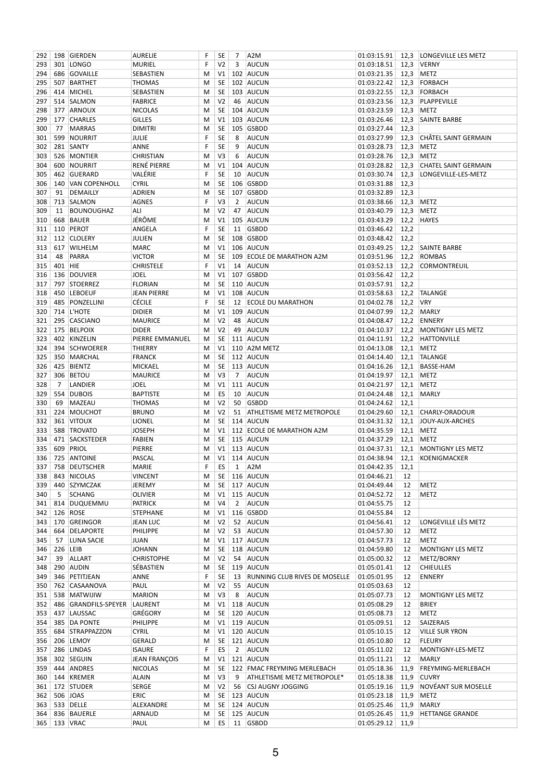| 292        |                | 198 GIERDEN                | <b>AURELIE</b>                   | F      | SE              | 7              | A <sub>2</sub> M                 | 01:03:15.91                |              | 12,3   LONGEVILLE LES METZ  |
|------------|----------------|----------------------------|----------------------------------|--------|-----------------|----------------|----------------------------------|----------------------------|--------------|-----------------------------|
| 293        |                | 301 LONGO                  | <b>MURIEL</b>                    | F      | V2              | 3              | <b>AUCUN</b>                     | 01:03:18.51                | 12,3         | <b>VERNY</b>                |
| 294        |                | 686 GOVAILLE               | SEBASTIEN                        | М      | V <sub>1</sub>  |                | 102 AUCUN                        | 01:03:21.35                | 12,3         | <b>METZ</b>                 |
| 295        |                | 507 BARTHET                | <b>THOMAS</b>                    | М      | SE              |                | 102 AUCUN                        | 01:03:22.42                | 12,3         | FORBACH                     |
| 296        |                | 414 MICHEL                 | SEBASTIEN                        | M      | SE              |                | 103 AUCUN                        | 01:03:22.55                | 12,3         | FORBACH                     |
| 297        |                | 514 SALMON                 | <b>FABRICE</b>                   | м      | V <sub>2</sub>  | 46             | AUCUN                            | 01:03:23.56                | 12,3         | PLAPPEVILLE                 |
| 298        |                | 377 ARNOUX                 | <b>NICOLAS</b>                   | M      | SE              |                | 104 AUCUN                        | 01:03:23.59                | 12,3         | <b>METZ</b>                 |
| 299        |                | 177 CHARLES                | GILLES                           | М      | V1              |                | 103 AUCUN                        | 01:03:26.46                | 12,3         | <b>SAINTE BARBE</b>         |
| 300        | 77             | MARRAS                     | <b>DIMITRI</b>                   | M      | SE              |                | 105 GSBDD                        | 01:03:27.44                | 12,3         |                             |
| 301        | 599            | NOURRIT                    | <b>JULIE</b>                     | F      | SE              | 8              | <b>AUCUN</b>                     | 01:03:27.99                | 12,3         | CHÂTEL SAINT GERMAIN        |
| 302        |                | 281 SANTY                  | ANNE                             | F      | SE              | 9              | <b>AUCUN</b>                     | 01:03:28.73                | 12,3         | <b>METZ</b>                 |
| 303        |                | 526 MONTIER                | <b>CHRISTIAN</b>                 | M      | V3              | 6              | <b>AUCUN</b>                     | 01:03:28.76                | 12,3         | <b>METZ</b>                 |
| 304        |                | 600 NOURRIT                | RENÉ PIERRE                      | M      | V1              |                | 104 AUCUN                        | 01:03:28.82                | 12,3         | <b>CHATEL SAINT GERMAIN</b> |
| 305        |                | 462 GUERARD                | VALÉRIE                          | F      | <b>SE</b>       | 10             | AUCUN                            | 01:03:30.74                | 12,3         | LONGEVILLE-LES-METZ         |
| 306        |                | 140 VAN COPENHOLL          | CYRIL                            | M      | SE              |                | 106 GSBDD                        | 01:03:31.88                | 12,3         |                             |
| 307        | 91             | DEMAILLY                   | ADRIEN                           | M      | <b>SE</b>       |                | 107 GSBDD                        | 01:03:32.89                | 12,3         |                             |
| 308        |                | 713 SALMON                 | AGNES                            | F      | V <sub>3</sub>  | 2              | <b>AUCUN</b>                     | 01:03:38.66                | 12,3         | <b>METZ</b>                 |
| 309        | 11             | <b>BOUNOUGHAZ</b>          | ALI                              | M      | V <sub>2</sub>  | 47             | AUCUN                            | 01:03:40.79                | 12,3         | <b>METZ</b>                 |
| 310        | 668            | <b>BAUER</b>               | JÉRÔME                           | М      | V1              |                | 105 AUCUN                        | 01:03:43.29                | 12,2         | <b>HAYES</b>                |
| 311        |                | 110 PEROT                  | ANGELA                           | F      | <b>SE</b>       | 11             | GSBDD                            | 01:03:46.42                | 12,2         |                             |
| 312        |                | 112 CLOLERY                | <b>JULIEN</b>                    | M      | SE              |                | 108 GSBDD                        | 01:03:48.42                | 12,2         |                             |
| 313        |                | 617 WILHELM                | <b>MARC</b>                      | М      | V <sub>1</sub>  |                | 106 AUCUN                        | 01:03:49.25                | 12,2         | SAINTE BARBE                |
| 314        | 48             | PARRA                      | <b>VICTOR</b>                    | M      | <b>SE</b>       |                | 109 ECOLE DE MARATHON A2M        | 01:03:51.96                | 12,2         | <b>ROMBAS</b>               |
| 315        | 401 HIE        |                            | <b>CHRISTELE</b>                 | F      | V <sub>1</sub>  | 14             | AUCUN                            | 01:03:52.13                | 12,2         | CORMONTREUIL                |
| 316        |                | 136 DOUVIER                | JOEL                             | М      | V1              |                | 107 GSBDD                        | 01:03:56.42                | 12,2         |                             |
| 317        |                | 797 STOERREZ               | <b>FLORIAN</b>                   | M      | SE              |                | 110 AUCUN                        | 01:03:57.91                | 12,2         |                             |
| 318        |                | 450 LEBOEUF                | <b>JEAN PIERRE</b>               | M      | V <sub>1</sub>  |                | 108 AUCUN                        | 01:03:58.63                | 12,2         | <b>TALANGE</b>              |
| 319        |                | 485 PONZELLINI             | Cécile                           | F      | <b>SE</b>       | 12             | <b>ECOLE DU MARATHON</b>         | 01:04:02.78                | 12,2         | <b>VRY</b>                  |
| 320        |                | 714 L'HOTE                 | DIDIER                           | М      | V1              |                | 109 AUCUN                        | 01:04:07.99                | 12,2         | MARLY                       |
| 321        | 295            | CASCIANO                   | <b>MAURICE</b>                   | м      | V <sub>2</sub>  | 48             | AUCUN                            | 01:04:08.47                | 12,2         | ENNERY                      |
| 322        |                | 175 BELPOIX                | <b>DIDER</b>                     | М      | V <sub>2</sub>  | 49             | AUCUN                            | 01:04:10.37                | 12,2         | MONTIGNY LES METZ           |
| 323        | 394            | 402 KINZELIN               | PIERRE EMMANUEL                  | M      | SE              |                | 111 AUCUN                        | 01:04:11.91                | 12,2         | <b>HATTONVILLE</b>          |
| 324        |                | <b>SCHWOERER</b>           | THIERRY                          | м      | V1<br><b>SE</b> |                | 110 A2M METZ                     | 01:04:13.08                | 12,1         | <b>METZ</b><br>TALANGE      |
| 325        |                | 350 MARCHAL                | <b>FRANCK</b>                    | M      |                 |                | 112 AUCUN<br>113 AUCUN           | 01:04:14.40<br>01:04:16.26 | 12,1         | <b>BASSE-HAM</b>            |
| 326        | 306            | 425 BIENTZ<br><b>BETOU</b> | <b>MICKAEL</b><br><b>MAURICE</b> | М<br>М | <b>SE</b><br>V3 | $\overline{7}$ | <b>AUCUN</b>                     | 01:04:19.97                | 12,1<br>12,1 | <b>METZ</b>                 |
| 327<br>328 | $\overline{7}$ | LANDIER                    | <b>JOEL</b>                      | м      | V1              |                | 111 AUCUN                        | 01:04:21.97                | 12,1         | <b>METZ</b>                 |
| 329        |                | 554 DUBOIS                 | BAPTISTE                         | М      | ES              | 10             | AUCUN                            | 01:04:24.48                | 12,1         | <b>MARLY</b>                |
| 330        | 69             | MAZEAU                     | <b>THOMAS</b>                    | М      | V <sub>2</sub>  | 50             | GSBDD                            | 01:04:24.62                | 12,1         |                             |
| 331        |                | 224 MOUCHOT                | <b>BRUNO</b>                     | M      | V <sub>2</sub>  | 51             | <b>ATHLETISME METZ METROPOLE</b> | 01:04:29.60                | 12,1         | CHARLY-ORADOUR              |
| 332        |                | 361 VITOUX                 | LIONEL                           | М      | SE              |                | 114 AUCUN                        | 01:04:31.32                | 12,1         | JOUY-AUX-ARCHES             |
| 333        |                | 588 TROVATO                | <b>JOSEPH</b>                    | M      | V1              |                | 112 ECOLE DE MARATHON A2M        | 01:04:35.59                | 12,1         | <b>METZ</b>                 |
| 334        |                | 471 SACKSTEDER             | FABIEN                           | М      | SE              |                | 115 AUCUN                        | 01:04:37.29                | 12,1         | <b>METZ</b>                 |
| 335        | 609            | PRIOL                      | PIERRE                           | M      | V <sub>1</sub>  |                | 113 AUCUN                        | 01:04:37.31                | 12,1         | MONTIGNY LES METZ           |
| 336        |                | 725 ANTOINE                | PASCAL                           | м      | V1              |                | 114 AUCUN                        | 01:04:38.94                | 12,1         | KOENIGMACKER                |
|            |                | 337 758 DEUTSCHER          | <b>MARIE</b>                     | F.     |                 |                | $ES$ 1 $ A2M$                    | 01:04:42.35 12,1           |              |                             |
| 338        |                | 843 NICOLAS                | <b>VINCENT</b>                   | М      | SE              |                | 116 AUCUN                        | 01:04:46.21                | 12           |                             |
| 339        |                | 440 SZYMCZAK               | JEREMY                           | M      | SE              |                | 117 AUCUN                        | 01:04:49.44                | 12           | <b>METZ</b>                 |
| 340        | 5              | <b>SCHANG</b>              | OLIVIER                          | M      | V1              |                | 115 AUCUN                        | 01:04:52.72                | 12           | <b>METZ</b>                 |
| 341        |                | 814 DUQUEMMU               | PATRICK                          | M      | V4              | $\overline{2}$ | <b>AUCUN</b>                     | 01:04:55.75                | 12           |                             |
| 342        |                | 126 ROSE                   | <b>STEPHANE</b>                  | M      | V1              |                | 116 GSBDD                        | 01:04:55.84                | 12           |                             |
| 343        |                | 170 GREINGOR               | <b>JEAN LUC</b>                  | M      | V <sub>2</sub>  |                | 52 AUCUN                         | 01:04:56.41                | 12           | LONGEVILLE LÈS METZ         |
| 344        |                | 664 DELAPORTE              | <b>PHILIPPE</b>                  | M      | V <sub>2</sub>  | 53             | AUCUN                            | 01:04:57.30                | 12           | <b>METZ</b>                 |
| 345        | 57             | LUNA SACIE                 | <b>JUAN</b>                      | M      | V1              |                | 117 AUCUN                        | 01:04:57.73                | 12           | <b>METZ</b>                 |
| 346        | 226            | LEIB                       | <b>JOHANN</b>                    | M      | SE              |                | 118 AUCUN                        | 01:04:59.80                | 12           | <b>MONTIGNY LES METZ</b>    |
| 347        | 39             | ALLART                     | <b>CHRISTOPHE</b>                | M      | V <sub>2</sub>  | 54             | AUCUN                            | 01:05:00.32                | 12           | METZ/BORNY                  |
| 348        |                | 290 AUDIN                  | SÉBASTIEN                        | M      | SE              |                | 119 AUCUN                        | 01:05:01.41                | 12           | <b>CHIEULLES</b>            |
| 349        |                | 346 PETITJEAN              | ANNE                             | F      | SE              | 13             | RUNNING CLUB RIVES DE MOSELLE    | 01:05:01.95                | 12           | <b>ENNERY</b>               |
| 350        |                | 762 CASAANOVA              | PAUL                             | M      | V <sub>2</sub>  | 55             | <b>AUCUN</b>                     | 01:05:03.63                | 12           |                             |
| 351        |                | 538 MATWIJIW               | <b>MARION</b>                    | M      | V3              | 8              | <b>AUCUN</b>                     | 01:05:07.73                | 12           | <b>MONTIGNY LES METZ</b>    |
| 352        | 486            | GRANDFILS-SPEYER           | LAURENT                          | M      | V1              |                | 118 AUCUN                        | 01:05:08.29                | 12           | <b>BRIEY</b>                |
| 353        |                | 437 LAUSSAC                | GRÉGORY                          | M      | SE              |                | 120 AUCUN                        | 01:05:08.73                | 12           | <b>METZ</b>                 |
| 354        |                | 385 DA PONTE               | PHILIPPE                         | M      | V1              |                | 119 AUCUN                        | 01:05:09.51                | 12           | SAIZERAIS                   |
| 355        |                | 684 STRAPPAZZON            | CYRIL                            | M      | V1              |                | 120 AUCUN                        | 01:05:10.15                | 12           | <b>VILLE SUR YRON</b>       |
|            |                | 356 206 LEMOY              | GERALD                           | M      | SE              |                | 121 AUCUN                        | 01:05:10.80                | 12           | <b>FLEURY</b>               |
| 357        |                | 286 LINDAS                 | <b>ISAURE</b>                    | F      | ES              | $\overline{2}$ | <b>AUCUN</b>                     | 01:05:11.02                | 12           | MONTIGNY-LES-METZ           |
| 358        |                | 302 SEGUIN                 | <b>JEAN FRANÇOIS</b>             | M      | V1              |                | 121 AUCUN                        | 01:05:11.21                | 12           | <b>MARLY</b>                |
| 359        |                | 444 ANDRES                 | <b>NICOLAS</b>                   | M      | SE              |                | 122 FMAC FREYMING MERLEBACH      | 01:05:18.36                | 11,9         | <b>FREYMING-MERLEBACH</b>   |
| 360        |                | 144 KREMER                 | <b>ALAIN</b>                     | M      | V <sub>3</sub>  | 9              | ATHLETISME METZ METROPOLE*       | 01:05:18.38                | 11,9         | <b>CUVRY</b>                |
|            |                | 361   172   STUDER         | SERGE                            | M      | V <sub>2</sub>  | 56             | <b>CSJ AUGNY JOGGING</b>         | 01:05:19.16                | 11,9         | NOVÉANT SUR MOSELLE         |
| 362        |                | 506 JOAS                   | ERIC                             | M      | SE              |                | 123 AUCUN                        | 01:05:23.18                | 11,9         | <b>METZ</b>                 |
|            |                | 363 533 DELLE              | ALEXANDRE                        | M      | SE              |                | 124 AUCUN                        | 01:05:25.46                | 11,9         | <b>MARLY</b>                |
| 364        |                | 836 BAUERLE                | ARNAUD                           | M      | SE              |                | 125 AUCUN                        | 01:05:26.45                | 11,9         | <b>HETTANGE GRANDE</b>      |
|            |                | 365   133   VRAC           | PAUL                             | м      | ES              |                | 11 GSBDD                         | 01:05:29.12                | 11,9         |                             |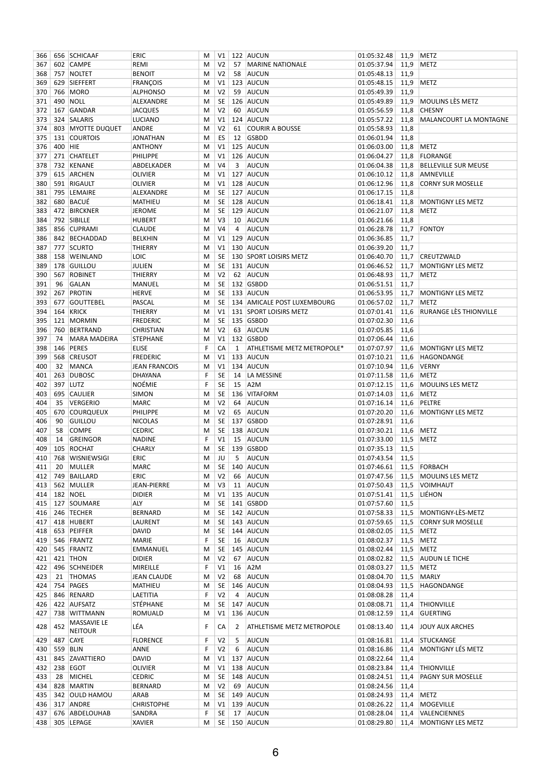| 366 |                  | 656 SCHICAAF           | ERIC                 | M | V1             |                | 122 AUCUN                   | 01:05:32.48              |      | 11,9   METZ                 |
|-----|------------------|------------------------|----------------------|---|----------------|----------------|-----------------------------|--------------------------|------|-----------------------------|
| 367 |                  | 602 CAMPE              | REMI                 | м | V <sub>2</sub> | 57             | <b>MARINE NATIONALE</b>     | 01:05:37.94              | 11,9 | METZ                        |
| 368 |                  | 757 NOLTET             | <b>BENOIT</b>        | М | V <sub>2</sub> | 58             | AUCUN                       | 01:05:48.13              | 11,9 |                             |
| 369 |                  | 629 SIEFFERT           | <b>FRANÇOIS</b>      | м | V <sub>1</sub> |                | 123 AUCUN                   | 01:05:48.15              | 11,9 | <b>METZ</b>                 |
| 370 | 766              | <b>MORO</b>            | <b>ALPHONSO</b>      | м | V <sub>2</sub> | 59             | AUCUN                       | 01:05:49.39              | 11,9 |                             |
| 371 |                  | 490 NOLL               | ALEXANDRE            | м | SE             |                | 126 AUCUN                   | 01:05:49.89              | 11,9 | MOULINS LÈS METZ            |
| 372 | 167              | GANDAR                 | <b>JACQUES</b>       | м | V <sub>2</sub> | 60             | AUCUN                       | 01:05:56.59              | 11,8 | <b>CHESNY</b>               |
| 373 |                  | 324 SALARIS            | <b>LUCIANO</b>       | м | V1             |                | 124 AUCUN                   | 01:05:57.22              | 11,8 | MALANCOURT LA MONTAGNE      |
| 374 |                  | 803 MYOTTE DUQUET      | ANDRE                | м | V <sub>2</sub> | 61             | <b>COURIR A BOUSSE</b>      | 01:05:58.93              | 11,8 |                             |
| 375 |                  | 131 COURTOIS           | JONATHAN             | M | ES             | 12             | GSBDD                       | 01:06:01.94              | 11,8 |                             |
| 376 | 400 HIE          |                        | <b>ANTHONY</b>       | м | V <sub>1</sub> |                | 125 AUCUN                   | 01:06:03.00              | 11,8 | METZ                        |
| 377 |                  | 271 CHATELET           | PHILIPPE             | м | V1             |                | 126 AUCUN                   | 01:06:04.27              | 11,8 | FLORANGE                    |
| 378 |                  | 732 KENANE             | ABDELKADER           | М | V <sub>4</sub> | 3              | <b>AUCUN</b>                | 01:06:04.38              | 11,8 | <b>BELLEVILLE SUR MEUSE</b> |
| 379 |                  | 615 ARCHEN             | OLIVIER              | м | V1             |                | 127 AUCUN                   | 01:06:10.12              | 11,8 | AMNEVILLE                   |
| 380 |                  | 591 RIGAULT            | <b>OLIVIER</b>       | м | V <sub>1</sub> |                | 128 AUCUN                   | 01:06:12.96              | 11,8 | <b>CORNY SUR MOSELLE</b>    |
| 381 | 795              | LEMAIRE                | ALEXANDRE            | м | <b>SE</b>      |                | 127 AUCUN                   | 01:06:17.15              | 11,8 |                             |
| 382 |                  | 680 BACUÉ              | MATHIEU              | м | <b>SE</b>      |                | 128 AUCUN                   | 01:06:18.41              | 11,8 | MONTIGNY LES METZ           |
| 383 |                  | 472 BIRCKNER           | <b>JEROME</b>        | м | SE             |                | 129 AUCUN                   | 01:06:21.07              | 11,8 | <b>METZ</b>                 |
| 384 |                  | 792 SIBILLE            | <b>HUBERT</b>        | м | V3             | 10             | AUCUN                       | 01:06:21.66              | 11,8 |                             |
| 385 |                  | 856 CUPRAMI            | <b>CLAUDE</b>        | M | V <sub>4</sub> | $\overline{4}$ | <b>AUCUN</b>                | 01:06:28.78              | 11,7 | FONTOY                      |
| 386 |                  | 842 BECHADDAD          | <b>BELKHIN</b>       | м | V <sub>1</sub> |                | 129 AUCUN                   | 01:06:36.85              | 11,7 |                             |
| 387 |                  | 777 SCURTO             | THIERRY              | м | V <sub>1</sub> |                | 130 AUCUN                   | 01:06:39.20              | 11,7 |                             |
| 388 |                  | 158 WEINLAND           | <b>LOIC</b>          | M | SE             |                | 130 SPORT LOISIRS METZ      | 01:06:40.70              | 11,7 | <b>CREUTZWALD</b>           |
| 389 |                  | 178 GUILLOU            | JULIEN               | м | <b>SE</b>      |                | 131 AUCUN                   | 01:06:46.52              | 11,7 | <b>MONTIGNY LES METZ</b>    |
| 390 | 567              | ROBINET                | <b>THIERRY</b>       | м | V <sub>2</sub> | 62             | AUCUN                       | 01:06:48.93              | 11,7 | <b>METZ</b>                 |
| 391 | 96               | <b>GALAN</b>           | MANUEL               | м | SE             |                | 132 GSBDD                   | 01:06:51.51              | 11,7 |                             |
| 392 | 267              | PROTIN                 | <b>HERVE</b>         | M | SE             |                | 133 AUCUN                   | 01:06:53.95              | 11,7 | <b>MONTIGNY LES METZ</b>    |
| 393 | 677              | GOUTTEBEL              | PASCAL               | м | SE             |                | 134 AMICALE POST LUXEMBOURG | 01:06:57.02              | 11,7 | <b>METZ</b>                 |
| 394 |                  | 164 KRICK              | <b>THIERRY</b>       | M | V <sub>1</sub> |                | 131 SPORT LOISIRS METZ      | 01:07:01.41              | 11,6 | RURANGE LÈS THIONVILLE      |
| 395 | 121              | MORMIN                 | <b>FREDERIC</b>      | M | SE             |                | 135 GSBDD                   | 01:07:02.30              | 11,6 |                             |
| 396 |                  | 760 BERTRAND           | <b>CHRISTIAN</b>     | м | V <sub>2</sub> | 63             | AUCUN                       | 01:07:05.85              | 11,6 |                             |
| 397 | 74               | <b>MARA MADEIRA</b>    | <b>STEPHANE</b>      | м | V <sub>1</sub> |                | 132 GSBDD                   | 01:07:06.44              | 11,6 |                             |
| 398 | 146              | PERES                  | <b>ELISE</b>         | F | CA             | 1              | ATHLETISME METZ METROPOLE*  | 01:07:07.97              | 11,6 | MONTIGNY LES METZ           |
| 399 | 568              | <b>CREUSOT</b>         | <b>FREDERIC</b>      | м | V1             |                | 133 AUCUN                   | 01:07:10.21              | 11,6 | HAGONDANGE                  |
| 400 | 32               | MANCA                  | <b>JEAN FRANCOIS</b> | м | V <sub>1</sub> |                | 134 AUCUN                   | 01:07:10.94              | 11,6 | <b>VERNY</b>                |
| 401 | 263              | <b>DUBOSC</b>          | DHAYANA              | F | SE             | 14             | LA MESSINE                  | 01:07:11.58              | 11,6 | <b>METZ</b>                 |
| 402 |                  | 397 LUTZ               | <b>NOÉMIE</b>        | F | SE             | 15             | A <sub>2</sub> M            | 01:07:12.15              | 11,6 | <b>MOULINS LES METZ</b>     |
| 403 | 695              | <b>CAULIER</b>         | <b>SIMON</b>         | M | SE             |                | 136 VITAFORM                | 01:07:14.03              | 11,6 | <b>METZ</b>                 |
| 404 | 35               | <b>VERGERIO</b>        | <b>MARC</b>          | м | V <sub>2</sub> | 64             | AUCUN                       | 01:07:16.14              | 11,6 | PELTRE                      |
| 405 | 670              | <b>COURQUEUX</b>       | PHILIPPE             | м | V <sub>2</sub> | 65             | AUCUN                       | 01:07:20.20              | 11,6 | <b>MONTIGNY LES METZ</b>    |
| 406 | 90               | <b>GUILLOU</b>         | <b>NICOLAS</b>       | м | SE             |                | 137 GSBDD                   | 01:07:28.91              | 11,6 |                             |
| 407 | 58               | <b>COMPE</b>           | <b>CEDRIC</b>        | м | SE             |                | 138 AUCUN                   | 01:07:30.21              | 11,6 | <b>METZ</b>                 |
| 408 | 14               | <b>GREINGOR</b>        | <b>NADINE</b>        | F | V1             | 15             | AUCUN                       | 01:07:33.00              | 11,5 | METZ                        |
| 409 | 105              | ROCHAT                 | <b>CHARLY</b>        | м | SE             |                | 139 GSBDD                   | 01:07:35.13              | 11,5 |                             |
| 410 |                  | 768 WISNIEWSIGI        | ERIC                 | М | JU             | 5              | AUCUN                       | 01:07:43.54              | 11,5 |                             |
| 411 |                  | 20 MULLER              | <b>MARC</b>          | M |                |                | SE   140   AUCUN            | 01:07:46.61 11,5 FORBACH |      |                             |
| 412 |                  | 749 BAILLARD           | ERIC                 | M | V <sub>2</sub> |                | 66 AUCUN                    | 01:07:47.56              |      | 11,5 MOULINS LES METZ       |
| 413 |                  | 562 MULLER             | <b>JEAN-PIERRE</b>   | М | V <sub>3</sub> | 11             | <b>AUCUN</b>                | 01:07:50.43              | 11,5 | VOIMHAUT                    |
| 414 |                  | 182 NOEL               | <b>DIDIER</b>        | M | V1             |                | 135 AUCUN                   | 01:07:51.41              | 11,5 | LIÉHON                      |
|     |                  | 415   127   SOUMARE    | ALY                  | M | SE             |                | 141 GSBDD                   | 01:07:57.60              | 11,5 |                             |
|     |                  | 416   246   TECHER     | <b>BERNARD</b>       | м | SE             |                | 142 AUCUN                   | 01:07:58.33              | 11,5 | MONTIGNY-LÈS-METZ           |
| 417 |                  | 418 HUBERT             | LAURENT              | M | <b>SE</b>      |                | 143 AUCUN                   | 01:07:59.65              | 11,5 | <b>CORNY SUR MOSELLE</b>    |
|     |                  | 418   653   PEIFFER    | <b>DAVID</b>         | M | SE             |                | 144 AUCUN                   | 01:08:02.05              | 11,5 | METZ                        |
| 419 |                  | 546 FRANTZ             | MARIE                | F | <b>SE</b>      | 16             | <b>AUCUN</b>                | 01:08:02.37              | 11,5 | <b>METZ</b>                 |
|     |                  | 420   545   FRANTZ     | <b>EMMANUEL</b>      | M | SE             |                | 145 AUCUN                   | 01:08:02.44              | 11,5 | <b>METZ</b>                 |
| 421 |                  | 421 THON               | DIDIER               | M | V <sub>2</sub> | 67             | AUCUN                       | 01:08:02.82              | 11,5 | <b>AUDUN LE TICHE</b>       |
| 422 |                  | 496 SCHNEIDER          | <b>MIREILLE</b>      | F | V1             | 16             | A <sub>2</sub> M            | 01:08:03.27              |      | 11,5 METZ                   |
| 423 |                  | 21 THOMAS              | <b>JEAN CLAUDE</b>   | м | V <sub>2</sub> | 68             | AUCUN                       | 01:08:04.70              | 11,5 | <b>MARLY</b>                |
|     |                  | 424 754 PAGES          | <b>MATHIEU</b>       | M | <b>SE</b>      |                | 146 AUCUN                   | 01:08:04.93              | 11,5 | HAGONDANGE                  |
| 425 |                  | 846 RENARD             | LAETITIA             | F | V <sub>2</sub> | 4              | <b>AUCUN</b>                | 01:08:08.28              | 11,4 |                             |
|     |                  | 426 422 AUFSATZ        | STÉPHANE             | М | SE             |                | 147 AUCUN                   | 01:08:08.71              | 11,4 | <b>THIONVILLE</b>           |
| 427 |                  | 738 WITTMANN           | ROMUALD              | M | V1             |                | 136 AUCUN                   | 01:08:12.59              | 11,4 | <b>GUERTING</b>             |
|     |                  | MASSAVIE LE            |                      |   |                |                |                             |                          |      |                             |
| 428 | 452              | <b>NEITOUR</b>         | LÉA                  | F | CA             | 2              | ATHLETISME METZ METROPOLE   | 01:08:13.40              | 11,4 | JOUY AUX ARCHES             |
| 429 |                  | 487 CAYE               | <b>FLORENCE</b>      | F | V <sub>2</sub> | 5              | AUCUN                       | 01:08:16.81              | 11,4 | STUCKANGE                   |
|     | 430   559   BLIN |                        | ANNE                 | F | V <sub>2</sub> | 6              | <b>AUCUN</b>                | 01:08:16.86              | 11,4 | MONTIGNY LÉS METZ           |
| 431 |                  | 845 ZAVATTIERO         | DAVID                | M | V1             |                | 137 AUCUN                   | 01:08:22.64              | 11,4 |                             |
| 432 |                  | 238 EGOT               | <b>OLIVIER</b>       | M | V1             |                | 138 AUCUN                   | 01:08:23.84              | 11,4 | <b>THIONVILLE</b>           |
| 433 | 28               | MICHEL                 | <b>CEDRIC</b>        | M | <b>SE</b>      |                | 148 AUCUN                   | 01:08:24.51              | 11,4 | <b>PAGNY SUR MOSELLE</b>    |
| 434 |                  | 828 MARTIN             | <b>BERNARD</b>       | M | V <sub>2</sub> | 69             | <b>AUCUN</b>                | 01:08:24.56              | 11,4 |                             |
| 435 |                  | 342 OULD HAMOU         | ARAB                 | M | <b>SE</b>      |                | 149 AUCUN                   | 01:08:24.93              | 11,4 | <b>METZ</b>                 |
| 436 |                  | 317 ANDRE              | <b>CHRISTOPHE</b>    | M | V1             |                | 139 AUCUN                   | 01:08:26.22              | 11,4 | MOGEVILLE                   |
|     |                  | 437   676   ABDELOUHAB | SANDRA               | F | SE             | 17             | AUCUN                       | 01:08:28.04              | 11,4 | VALENCIENNES                |
| 438 |                  | 305 LEPAGE             | <b>XAVIER</b>        | М | SE             |                | 150 AUCUN                   | 01:08:29.80              |      | 11,4   MONTIGNY LES METZ    |
|     |                  |                        |                      |   |                |                |                             |                          |      |                             |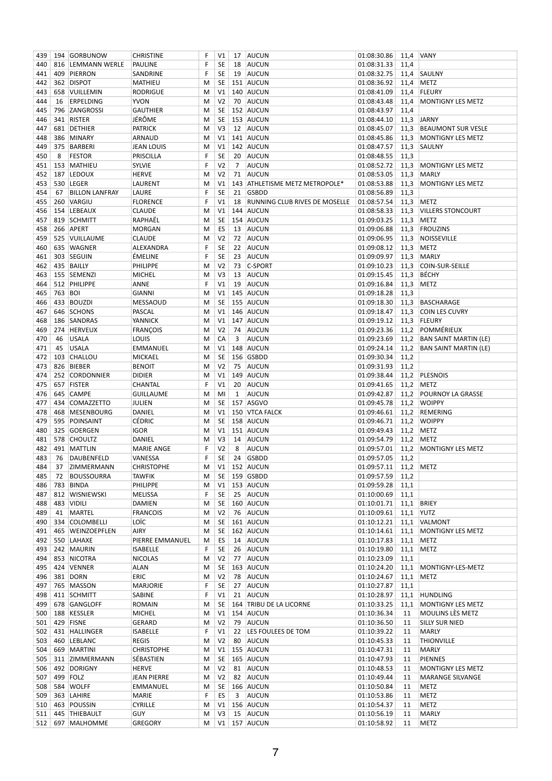| 439 |         | 194 GORBUNOW          | CHRISTINE          | F         | V1             | 17           | AUCUN                          | 01:08:30.86           |      | 11,4 VANY                    |
|-----|---------|-----------------------|--------------------|-----------|----------------|--------------|--------------------------------|-----------------------|------|------------------------------|
| 440 |         | 816 LEMMANN WERLE     | PAULINE            | F         | <b>SE</b>      | 18           | AUCUN                          | 01:08:31.33           | 11,4 |                              |
| 441 |         | 409 PIERRON           | SANDRINE           | F         | <b>SE</b>      | 19           | AUCUN                          | 01:08:32.75           | 11,4 | SAULNY                       |
| 442 |         | 362 DISPOT            | MATHIEU            | M         | SE             |              | 151 AUCUN                      | 01:08:36.92           | 11,4 | <b>METZ</b>                  |
| 443 |         | 658 VUILLEMIN         | <b>RODRIGUE</b>    | M         | V1             |              | 140 AUCUN                      | 01:08:41.09           | 11,4 | <b>FLEURY</b>                |
| 444 | 16      | <b>ERPELDING</b>      | <b>YVON</b>        | M         | V <sub>2</sub> | 70           | AUCUN                          | 01:08:43.48           | 11,4 | <b>MONTIGNY LES METZ</b>     |
| 445 |         | 796 ZANGROSSI         | <b>GAUTHIER</b>    | M         | SE             |              | 152 AUCUN                      | 01:08:43.97           | 11,4 |                              |
| 446 |         | 341 RISTER            | JÉRÔME             | M         | SE             |              | 153 AUCUN                      | 01:08:44.10           | 11,3 | <b>JARNY</b>                 |
| 447 |         | 681 DETHIER           | PATRICK            | M         | V3             | 12           | AUCUN                          | 01:08:45.07           | 11,3 | <b>BEAUMONT SUR VESLE</b>    |
| 448 |         | 386 MINARY            | ARNAUD             | M         | V1             |              | 141 AUCUN                      | 01:08:45.86           | 11,3 | <b>MONTIGNY LES METZ</b>     |
| 449 |         | 375 BARBERI           | JEAN LOUIS         | М         | V1             |              | 142 AUCUN                      | 01:08:47.57           | 11,3 | SAULNY                       |
| 450 | 8       | <b>FESTOR</b>         | PRISCILLA          | F         | <b>SE</b>      | 20           | AUCUN                          | 01:08:48.55           | 11,3 |                              |
| 451 |         | 153 MATHIEU           | <b>SYLVIE</b>      | F         | V <sub>2</sub> | 7            | AUCUN                          | 01:08:52.72           | 11,3 | MONTIGNY LES METZ            |
| 452 |         | 187 LEDOUX            | <b>HERVE</b>       | M         | V <sub>2</sub> | 71           | AUCUN                          | 01:08:53.05           | 11,3 | <b>MARLY</b>                 |
| 453 |         | 530 LEGER             | LAURENT            | М         | V1             |              | 143 ATHLETISME METZ METROPOLE* | 01:08:53.88           | 11,3 | MONTIGNY LES METZ            |
| 454 | 67      | <b>BILLON LANFRAY</b> | LAURE              | F         | <b>SE</b>      | 21           | <b>GSBDD</b>                   | 01:08:56.89           | 11,3 |                              |
| 455 |         | 260 VARGIU            | <b>FLORENCE</b>    | F         | V <sub>1</sub> | 18           | RUNNING CLUB RIVES DE MOSELLE  | 01:08:57.54           |      | 11,3 METZ                    |
| 456 |         | 154 LEBEAUX           | CLAUDE             | M         | V1             |              | 144 AUCUN                      | 01:08:58.33           | 11,3 | <b>VILLERS STONCOURT</b>     |
| 457 |         | 819 SCHMITT           | RAPHAËL            | М         | <b>SE</b>      |              | 154 AUCUN                      | 01:09:03.25           | 11,3 | <b>METZ</b>                  |
| 458 |         | 266 APERT             | <b>MORGAN</b>      | M         | ES             | 13           | AUCUN                          | 01:09:06.88           | 11,3 | FROUZINS                     |
| 459 |         | 525 VUILLAUME         | <b>CLAUDE</b>      | M         | V <sub>2</sub> | 72           | AUCUN                          | 01:09:06.95           | 11,3 | NOISSEVILLE                  |
| 460 |         | 635 WAGNER            | ALEXANDRA          | F         | <b>SE</b>      | 22           | AUCUN                          | 01:09:08.12           | 11,3 | <b>METZ</b>                  |
| 461 |         | 303 SEGUIN            | ÉMELINE            | F         | <b>SE</b>      | 23           | <b>AUCUN</b>                   | 01:09:09.97           | 11,3 | <b>MARLY</b>                 |
| 462 |         | 435 BAILLY            | PHILIPPE           | M         | V <sub>2</sub> | 73           | C-SPORT                        | 01:09:10.23           | 11,3 | COIN-SUR-SEILLE              |
| 463 |         | 155 SEMENZI           | <b>MICHEL</b>      | М         | V3             | 13           | AUCUN                          | 01:09:15.45           | 11,3 | <b>BÉCHY</b>                 |
| 464 |         | 512 PHILIPPE          | ANNE               | F         | V <sub>1</sub> | 19           | AUCUN                          | 01:09:16.84           | 11,3 | <b>METZ</b>                  |
| 465 | 763 BOI |                       | GIANNI             | M         | V1             |              | 145 AUCUN                      | 01:09:18.28           | 11,3 |                              |
| 466 |         | 433 BOUZDI            | MESSAOUD           | M         | SE             |              | 155 AUCUN                      | 01:09:18.30           | 11,3 | BASCHARAGE                   |
| 467 |         | 646 SCHONS            | PASCAL             | M         | V1             |              | 146 AUCUN                      | 01:09:18.47           | 11,3 | <b>COIN LES CUVRY</b>        |
| 468 |         | 186 SANDRAS           | YANNICK            | М         | V1             |              | 147 AUCUN                      | 01:09:19.12           | 11,3 | <b>FLEURY</b>                |
| 469 |         | 274 HERVEUX           | <b>FRANÇOIS</b>    | M         | V <sub>2</sub> | 74           | AUCUN                          | 01:09:23.36           | 11,2 | POMMÉRIEUX                   |
| 470 | 46      | <b>USALA</b>          | <b>LOUIS</b>       | М         | CA             | 3            | <b>AUCUN</b>                   | 01:09:23.69           |      | 11,2 BAN SAINT MARTIN (LE)   |
| 471 | 45      | <b>USALA</b>          | <b>EMMANUEL</b>    | М         | V1             |              | 148 AUCUN                      | 01:09:24.14           | 11,2 | <b>BAN SAINT MARTIN (LE)</b> |
| 472 | 103     | CHALLOU               | MICKAEL            | M         | SE             |              | 156 GSBDD                      | 01:09:30.34           | 11,2 |                              |
| 473 |         | 826 BIEBER            | <b>BENOIT</b>      | M         | V <sub>2</sub> | 75           | <b>AUCUN</b>                   | 01:09:31.93           | 11,2 |                              |
| 474 |         | 252 CORDONNIER        | DIDIER             | M         | V1             |              | 149 AUCUN                      | 01:09:38.44           | 11,2 | PLESNOIS                     |
| 475 |         | 657 FISTER            | CHANTAL            | F         | V1             | 20           | AUCUN                          | 01:09:41.65           | 11,2 | <b>METZ</b>                  |
| 476 | 645     | <b>CAMPE</b>          | <b>GUILLAUME</b>   | M         | MI             | $\mathbf{1}$ | <b>AUCUN</b>                   | 01:09:42.87           | 11,2 | POURNOY LA GRASSE            |
| 477 |         | 434 COMAZZETTO        | <b>JULIEN</b>      | М         | SE             |              | 157 ASGVO                      | 01:09:45.78           | 11,2 | <b>WOIPPY</b>                |
| 478 |         | 468 MESENBOURG        | DANIEL             | M         | V1             |              | 150 VTCA FALCK                 | 01:09:46.61           | 11,2 | REMERING                     |
| 479 | 595     | POINSAINT             | <b>CÉDRIC</b>      | M         | SE             |              | 158 AUCUN                      | 01:09:46.71           | 11,2 | <b>WOIPPY</b>                |
| 480 |         | 325 GOERGEN           | igor               | M         | V <sub>1</sub> |              | 151 AUCUN                      | 01:09:49.43           | 11,2 | <b>METZ</b>                  |
| 481 |         | 578 CHOULTZ           | DANIEL             | М         | V3             | 14           | AUCUN                          | 01:09:54.79           | 11,2 | <b>METZ</b>                  |
| 482 |         | 491 MATTLIN           | <b>MARIE ANGE</b>  | F         | V <sub>2</sub> | 8            | <b>AUCUN</b>                   | 01:09:57.01           | 11,2 | MONTIGNY LES METZ            |
| 483 | 76      | DAUBENFELD            | VANESSA            | F         | SE             | 24           | GSBDD                          | 01:09:57.05           | 11,2 |                              |
| 484 |         | 37 ZIMMERMANN         | <b>CHRISTOPHE</b>  | ${\sf M}$ |                |              | V1 152 AUCUN                   | 01:09:57.11 11,2 METZ |      |                              |
| 485 |         | 72 BOUSSOURRA         | TAWFIK             | M         | SE             |              | 159 GSBDD                      | 01:09:57.59           | 11,2 |                              |
|     |         | 486 783 BINDA         | PHILIPPE           | М         | V1             |              | 153 AUCUN                      | 01:09:59.28           | 11,1 |                              |
| 487 |         | 812 WISNIEWSKI        | MELISSA            | F         | <b>SE</b>      | 25           | AUCUN                          | 01:10:00.69           | 11,1 |                              |
| 488 |         | 483 VIDILI            | DAMIEN             | M         | <b>SE</b>      |              | 160 AUCUN                      | 01:10:01.71           |      | 11,1 BRIEY                   |
| 489 | 41      | <b>MARTEL</b>         | <b>FRANCOIS</b>    | M         | V <sub>2</sub> |              | 76 AUCUN                       | 01:10:09.61           |      | 11,1 YUTZ                    |
| 490 |         | 334 COLOMBELLI        | LOÏC               | M         | <b>SE</b>      |              | 161 AUCUN                      | 01:10:12.21           | 11,1 | VALMONT                      |
| 491 |         | 465 WEINZOEPFLEN      | AIRY               | M         | <b>SE</b>      |              | 162 AUCUN                      | 01:10:14.61           | 11,1 | MONTIGNY LES METZ            |
| 492 |         | 550 LAHAXE            | PIERRE EMMANUEL    | M         | ES             |              | 14 AUCUN                       | 01:10:17.83           |      | $11,1$ METZ                  |
| 493 |         | 242 MAURIN            | <b>ISABELLE</b>    | F         | <b>SE</b>      | 26           | <b>AUCUN</b>                   | 01:10:19.80           | 11,1 | <b>METZ</b>                  |
| 494 |         | 853 NICOTRA           | NICOLAS            | M         | V <sub>2</sub> | 77           | AUCUN                          | 01:10:23.09           | 11,1 |                              |
| 495 |         | 424 VENNER            | ALAN               | M         | SE             |              | 163 AUCUN                      | 01:10:24.20           |      | 11,1   MONTIGNY-LES-METZ     |
| 496 |         | 381 DORN              | ERIC               | M         | V <sub>2</sub> | 78           | AUCUN                          | 01:10:24.67           | 11,1 | <b>METZ</b>                  |
| 497 |         | 765 MASSON            | MARJORIE           | F         | <b>SE</b>      | 27           | AUCUN                          | 01:10:27.87           | 11,1 |                              |
| 498 |         | 411 SCHMITT           | SABINE             | F         | V1             | 21           | AUCUN                          | 01:10:28.97           | 11,1 | HUNDLING                     |
| 499 |         | 678 GANGLOFF          | ROMAIN             | M         | SE             |              | 164 TRIBU DE LA LICORNE        | 01:10:33.25           | 11,1 | <b>MONTIGNY LES METZ</b>     |
|     |         | 500   188   KESSLER   | MICHEL             | M         | V1             |              | 154 AUCUN                      | 01:10:36.34           | 11   | MOULINS LÈS METZ             |
| 501 |         | 429 FISNE             | GERARD             | M         | V <sub>2</sub> | 79           | AUCUN                          | 01:10:36.50           | 11   | SILLY SUR NIED               |
| 502 |         | 431 HALLINGER         | ISABELLE           | F         | V1             | 22           | LES FOULEES DE TOM             | 01:10:39.22           | 11   | <b>MARLY</b>                 |
|     |         | 503 460 LEBLANC       | REGIS              | М         | V <sub>2</sub> | 80           | AUCUN                          | 01:10:45.33           | 11   | <b>THIONVILLE</b>            |
| 504 |         | 669 MARTINI           | CHRISTOPHE         |           | V1             |              | 155 AUCUN                      | 01:10:47.31           | 11   | MARLY                        |
|     |         |                       |                    | M         |                |              | 165 AUCUN                      |                       |      |                              |
| 505 |         | 311 ZIMMERMANN        | SÉBASTIEN          | M         | <b>SE</b>      | 81           |                                | 01:10:47.93           | 11   | PIENNES                      |
|     |         | 506   492   DORIGNY   | HERVE              | M         | V <sub>2</sub> |              | AUCUN                          | 01:10:48.53           | 11   | MONTIGNY LES METZ            |
| 507 |         | 499 FOLZ              | <b>JEAN PIERRE</b> | M         | V <sub>2</sub> |              | 82 AUCUN                       | 01:10:49.44           | 11   | MARANGE SILVANGE             |
| 508 |         | 584 WOLFF             | EMMANUEL           | M         | <b>SE</b>      |              | 166 AUCUN                      | 01:10:50.84           | 11   | METZ                         |
| 509 |         | 363 LAHIRE            | <b>MARIE</b>       | F         | ES             | 3            | <b>AUCUN</b>                   | 01:10:53.86           | 11   | METZ                         |
|     |         | 510 463 POUSSIN       | CYRILLE            | M         | V1             |              | 156 AUCUN                      | 01:10:54.37           | 11   | METZ                         |
| 511 |         | 445 THIEBAULT         | GUY                | M         | V3             | 15           | AUCUN                          | 01:10:56.19           | 11   | <b>MARLY</b>                 |
| 512 |         | 697 MALHOMME          | <b>GREGORY</b>     | М         |                |              | V1   157   AUCUN               | 01:10:58.92           | 11   | <b>METZ</b>                  |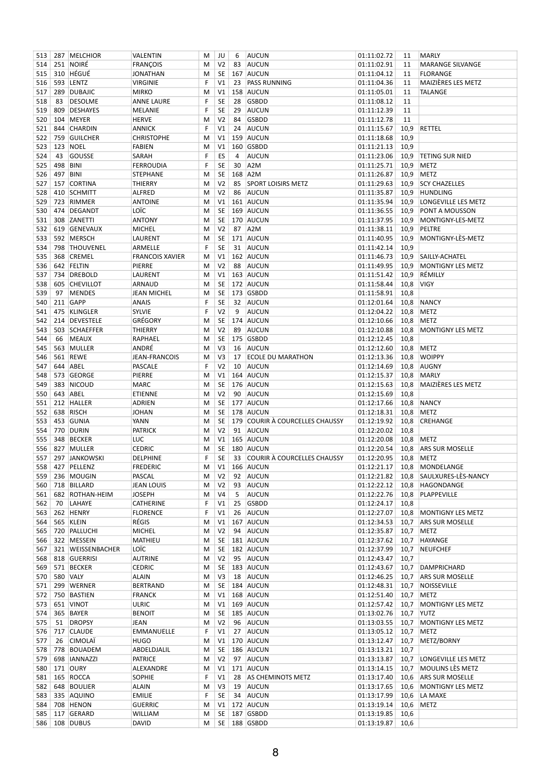| 513        |         | 287 MELCHIOR                | VALENTIN                 | M      | JU                          | 6  | AUCUN                           | 01:11:02.72                | 11           | <b>MARLY</b>                 |
|------------|---------|-----------------------------|--------------------------|--------|-----------------------------|----|---------------------------------|----------------------------|--------------|------------------------------|
| 514        |         | 251 NOIRÉ                   | <b>FRANÇOIS</b>          | M      | V <sub>2</sub>              | 83 | AUCUN                           | 01:11:02.91                | 11           | MARANGE SILVANGE             |
| 515        |         | 310 HÉGUÉ                   | <b>JONATHAN</b>          | М      | <b>SE</b>                   |    | 167 AUCUN                       | 01:11:04.12                | 11           | <b>FLORANGE</b>              |
| 516        |         | 593 LENTZ                   | <b>VIRGINIE</b>          | F      | V1                          | 23 | <b>PASS RUNNING</b>             | 01:11:04.36                | 11           | MAIZIÈRES LES METZ           |
| 517        | 289     | <b>DUBAJIC</b>              | <b>MIRKO</b>             | M      | V1                          |    | 158 AUCUN                       | 01:11:05.01                | 11           | TALANGE                      |
| 518        | 83      | <b>DESOLME</b>              | <b>ANNE LAURE</b>        | F      | <b>SE</b>                   | 28 | <b>GSBDD</b>                    | 01:11:08.12                | 11           |                              |
| 519        | 809     | <b>DESHAYES</b>             | MELANIE                  | F      | <b>SE</b>                   | 29 | <b>AUCUN</b>                    | 01:11:12.39                | 11           |                              |
| 520        | 104     | <b>MEYER</b>                | <b>HERVE</b>             | M      | V <sub>2</sub>              | 84 | <b>GSBDD</b>                    | 01:11:12.78                | 11           |                              |
| 521        |         | 844 CHARDIN                 | <b>ANNICK</b>            | F      | V <sub>1</sub>              | 24 | AUCUN                           | 01:11:15.67                | 10,9         | RETTEL                       |
| 522        | 759     | <b>GUILCHER</b>             | <b>CHRISTOPHE</b>        | M      | V1                          |    | 159 AUCUN                       | 01:11:18.68                | 10,9         |                              |
| 523        | 123     | NOEL                        | <b>FABIEN</b>            | M      | V1                          |    | 160 GSBDD                       | 01:11:21.13                | 10,9         |                              |
| 524        | 43      | GOUSSE                      | SARAH                    | F      | ES                          | 4  | <b>AUCUN</b>                    | 01:11:23.06                | 10,9         | <b>TETING SUR NIED</b>       |
| 525        | 498     | <b>BINI</b>                 | <b>FERROUDIA</b>         | F      | <b>SE</b>                   | 30 | A <sub>2</sub> M                | 01:11:25.71                | 10,9         | <b>METZ</b>                  |
| 526        | 497     | BINI                        | <b>STEPHANE</b>          | M      | <b>SE</b>                   |    | 168 A2M                         | 01:11:26.87                | 10,9         | <b>METZ</b>                  |
| 527        |         | 157 CORTINA                 | <b>THIERRY</b>           | M      | V <sub>2</sub>              | 85 | <b>SPORT LOISIRS METZ</b>       | 01:11:29.63                | 10,9         | <b>SCY CHAZELLES</b>         |
| 528        |         | 410 SCHMITT                 | ALFRED                   | M      | V <sub>2</sub>              | 86 | AUCUN                           | 01:11:35.87                | 10,9         | HUNDLING                     |
| 529        |         | 723 RIMMER                  | <b>ANTOINE</b>           | M      | V1                          |    | 161 AUCUN                       | 01:11:35.94                | 10,9         | LONGEVILLE LES METZ          |
| 530        |         | 474 DEGANDT                 | LOÏC                     | M      | <b>SE</b>                   |    | 169 AUCUN                       | 01:11:36.55                | 10,9         | <b>PONT A MOUSSON</b>        |
| 531        | 308     | ZANETTI                     | <b>ANTONY</b>            | M      | <b>SE</b>                   |    | 170 AUCUN                       | 01:11:37.95                | 10,9         | MONTIGNY-LES-METZ            |
| 532        |         | 619 GENEVAUX                | <b>MICHEL</b>            | M      | V <sub>2</sub>              | 87 | A <sub>2</sub> M                | 01:11:38.11                | 10,9         | PELTRE                       |
| 533        |         | 592 MERSCH                  | LAURENT                  | M      | <b>SE</b>                   |    | 171 AUCUN                       | 01:11:40.95                | 10,9         | MONTIGNY-LÈS-METZ            |
| 534        |         | 798 THOUVENEL               | ARMELLE                  | F      | <b>SE</b>                   | 31 | AUCUN                           | 01:11:42.14                | 10,9         |                              |
| 535        | 368     | <b>CREMEL</b>               | <b>FRANCOIS XAVIER</b>   | M      | V1                          |    | 162 AUCUN                       | 01:11:46.73                | 10,9         | SAILLY-ACHATEL               |
| 536        |         | 642 FELTIN                  | PIERRE                   | M      | V <sub>2</sub>              | 88 | AUCUN                           | 01:11:49.95                | 10,9         | MONTIGNY LES METZ            |
| 537        |         | 734 DREBOLD                 | LAURENT                  | M      | V1                          |    | 163 AUCUN                       | 01:11:51.42                | 10,9         | RÉMILLY                      |
| 538        |         | 605 CHEVILLOT               | ARNAUD                   | M      | <b>SE</b>                   |    | 172 AUCUN                       | 01:11:58.44                | 10,8         | <b>VIGY</b>                  |
| 539        | 97      | <b>MENDES</b>               | <b>JEAN MICHEL</b>       | M      | <b>SE</b>                   |    | 173 GSBDD                       | 01:11:58.91                | 10,8         |                              |
| 540        |         | 211 GAPP                    | <b>ANAIS</b>             | F      | <b>SE</b>                   | 32 | AUCUN                           | 01:12:01.64                | 10,8         | <b>NANCY</b>                 |
| 541        |         | 475 KLINGLER                | <b>SYLVIE</b>            | F      | V <sub>2</sub>              | 9  | <b>AUCUN</b>                    | 01:12:04.22                | 10,8         | <b>METZ</b>                  |
| 542        |         | 214 DEVESTELE               | GRÉGORY                  | M      | <b>SE</b>                   |    | 174 AUCUN                       | 01:12:10.66                | 10,8         | <b>METZ</b>                  |
| 543        |         | 503 SCHAEFFER               | THIERRY                  | М      | V <sub>2</sub>              | 89 | AUCUN                           | 01:12:10.88                | 10,8         | <b>MONTIGNY LES METZ</b>     |
| 544        | 66      | <b>MEAUX</b>                | RAPHAEL                  | M      | SE                          |    | 175 GSBDD                       | 01:12:12.45                | 10,8         |                              |
| 545        | 563     | MULLER                      | ANDRÉ                    | M      | V <sub>3</sub>              | 16 | AUCUN                           | 01:12:12.60                | 10,8         | <b>METZ</b>                  |
| 546        |         | 561 REWE                    | <b>JEAN-FRANCOIS</b>     | M      | V3                          | 17 | <b>ECOLE DU MARATHON</b>        | 01:12:13.36                | 10,8         | <b>WOIPPY</b>                |
| 547        |         | 644 ABEL                    | <b>PASCALE</b>           | F      | V <sub>2</sub>              | 10 | AUCUN                           | 01:12:14.69                | 10,8         | <b>AUGNY</b><br><b>MARLY</b> |
| 548<br>549 | 573     | <b>GEORGE</b><br>383 NICOUD | PIERRE<br><b>MARC</b>    | M<br>M | V <sub>1</sub><br><b>SE</b> |    | 164 AUCUN<br>176 AUCUN          | 01:12:15.37<br>01:12:15.63 | 10,8<br>10,8 | MAIZIÈRES LES METZ           |
|            |         | 643 ABEL                    |                          | M      | V <sub>2</sub>              | 90 | AUCUN                           | 01:12:15.69                | 10,8         |                              |
| 550<br>551 |         | 212 HALLER                  | ETIENNE<br><b>ADRIEN</b> | M      | <b>SE</b>                   |    | 177 AUCUN                       | 01:12:17.66                | 10,8         | <b>NANCY</b>                 |
| 552        |         | 638 RISCH                   | <b>JOHAN</b>             | M      | <b>SE</b>                   |    | 178 AUCUN                       | 01:12:18.31                | 10,8         | <b>METZ</b>                  |
| 553        | 453     | GUNIA                       | YANN                     | M      | <b>SE</b>                   |    | 179 COURIR À COURCELLES CHAUSSY | 01:12:19.92                | 10,8         | <b>CREHANGE</b>              |
| 554        | 770     | <b>DURIN</b>                | <b>PATRICK</b>           | M      | V <sub>2</sub>              |    | 91 AUCUN                        | 01:12:20.02                | 10,8         |                              |
| 555        | 348     | <b>BECKER</b>               | LUC                      | M      | V1                          |    | 165 AUCUN                       | 01:12:20.08                | 10,8         | <b>METZ</b>                  |
| 556        |         | 827 MULLER                  | <b>CEDRIC</b>            | M      | <b>SE</b>                   |    | 180 AUCUN                       | 01:12:20.54                | 10,8         | <b>ARS SUR MOSELLE</b>       |
| 557        |         | 297 JANKOWSKI               | DELPHINE                 | F      | <b>SE</b>                   |    | 33 COURIR À COURCELLES CHAUSSY  | 01:12:20.95                |              | 10,8 METZ                    |
|            |         | 558 427 PELLENZ             | <b>FREDERIC</b>          |        |                             |    | M   V1   166   AUCUN            |                            |              | 01:12:21.17 10,8 MONDELANGE  |
| 559        |         | 236 MOUGIN                  | PASCAL                   | M      | V <sub>2</sub>              |    | 92 AUCUN                        | 01:12:21.82                |              | 10,8 SAULXURES-LES-NANCY     |
| 560        |         | 718 BILLARD                 | <b>JEAN LOUIS</b>        | М      | V <sub>2</sub>              | 93 | AUCUN                           | 01:12:22.12                | 10,8         | HAGONDANGE                   |
| 561        |         | 682 ROTHAN-HEIM             | <b>JOSEPH</b>            | М      | V4                          | 5  | <b>AUCUN</b>                    | 01:12:22.76                | 10,8         | PLAPPEVILLE                  |
| 562        | 70      | LAHAYE                      | CATHERINE                | F      | V1                          | 25 | <b>GSBDD</b>                    | 01:12:24.17                | 10,8         |                              |
| 563        |         | 262 HENRY                   | <b>FLORENCE</b>          | F      | V1                          | 26 | AUCUN                           | 01:12:27.07                | 10,8         | MONTIGNY LES METZ            |
| 564        |         | 565 KLEIN                   | RÉGIS                    | M      | V1                          |    | 167 AUCUN                       | 01:12:34.53                |              | 10,7 ARS SUR MOSELLE         |
| 565        |         | 720 PALLUCHI                | <b>MICHEL</b>            | M      | V <sub>2</sub>              |    | 94 AUCUN                        | 01:12:35.87                | 10,7         | METZ                         |
|            |         | 566 322 MESSEIN             | MATHIEU                  | М      | <b>SE</b>                   |    | 181 AUCUN                       | 01:12:37.62                | 10,7         | HAYANGE                      |
| 567        |         | 321 WEISSENBACHER           | LOÏC                     | М      | <b>SE</b>                   |    | 182 AUCUN                       | 01:12:37.99                | 10,7         | <b>NEUFCHEF</b>              |
|            |         | 568 818 GUERRISI            | AUTRINE                  | М      | V <sub>2</sub>              |    | 95 AUCUN                        | 01:12:43.47                | 10,7         |                              |
|            |         | 569 571 BECKER              | <b>CEDRIC</b>            | Μ      | <b>SE</b>                   |    | 183 AUCUN                       | 01:12:43.67                |              | 10,7 DAMPRICHARD             |
| 570        |         | 580 VALY                    | ALAIN                    | М      | V3                          |    | 18 AUCUN                        | 01:12:46.25                | 10,7         | <b>ARS SUR MOSELLE</b>       |
| 571        |         | 299 WERNER                  | <b>BERTRAND</b>          | M      | SE                          |    | 184 AUCUN                       | 01:12:48.31                | 10,7         | NOISSEVILLE                  |
| 572        |         | 750 BASTIEN                 | <b>FRANCK</b>            | Μ      | V1                          |    | 168 AUCUN                       | 01:12:51.40                |              | 10,7 METZ                    |
|            |         | 573 651 VINOT               | <b>ULRIC</b>             | М      | V1                          |    | 169 AUCUN                       | 01:12:57.42                | 10,7         | MONTIGNY LES METZ            |
| 574        |         | 365 BAYER                   | <b>BENOIT</b>            | M      | <b>SE</b>                   |    | 185 AUCUN                       | 01:13:02.76                | 10,7         | <b>YUTZ</b>                  |
| 575        | 51      | <b>DROPSY</b>               | JEAN                     | Μ      | V <sub>2</sub>              |    | 96 AUCUN                        | 01:13:03.55                | 10,7         | MONTIGNY LES METZ            |
|            | 576 717 | <b>CLAUDE</b>               | EMMANUELLE               | F      | V1                          |    | 27 AUCUN                        | 01:13:05.12                | 10,7         | <b>METZ</b>                  |
| 577        | 26      | <b>CIMOLAÏ</b>              | <b>HUGO</b>              | М      | V1                          |    | 170 AUCUN                       | 01:13:12.47                | 10,7         | METZ/BORNY                   |
|            |         | 578 778 BOUADEM             | ABDELDJALIL              | М      | <b>SE</b>                   |    | 186 AUCUN                       | 01:13:13.21                | 10,7         |                              |
| 579        |         | 698   IANNAZZI              | <b>PATRICE</b>           | М      | V <sub>2</sub>              |    | 97 AUCUN                        | 01:13:13.87                | 10,7         | LONGEVILLE LES METZ          |
|            |         | 580 171 OURY                | ALEXANDRE                | М      | V1                          |    | 171 AUCUN                       | 01:13:14.15                | 10,7         | <b>MOULINS LÈS METZ</b>      |
| 581        |         | 165 ROCCA                   | <b>SOPHIE</b>            | F      | V <sub>1</sub>              | 28 | AS CHEMINOTS METZ               | 01:13:17.40                | 10,6         | <b>ARS SUR MOSELLE</b>       |
| 582        |         | 648 BOULIER                 | <b>ALAIN</b>             | M      | V3                          | 19 | AUCUN                           | 01:13:17.65                | 10,6         | MONTIGNY LES METZ            |
| 583        |         | 335 AQUINO                  | <b>EMILIE</b>            | F      | <b>SE</b>                   |    | 34 AUCUN                        | 01:13:17.99                | 10,6         | LA MAXE                      |
| 584        |         | 708 HENON                   | <b>GUERRIC</b>           | M      | V1                          |    | 172 AUCUN                       | 01:13:19.14                | 10,6         | <b>METZ</b>                  |
|            |         | 585 117 GERARD              | WILLIAM                  | М      | <b>SE</b>                   |    | 187 GSBDD                       | 01:13:19.85                | 10,6         |                              |
|            |         | 586 108 DUBUS               | DAVID                    | М      |                             |    | SE 188 GSBDD                    | 01:13:19.87                | 10,6         |                              |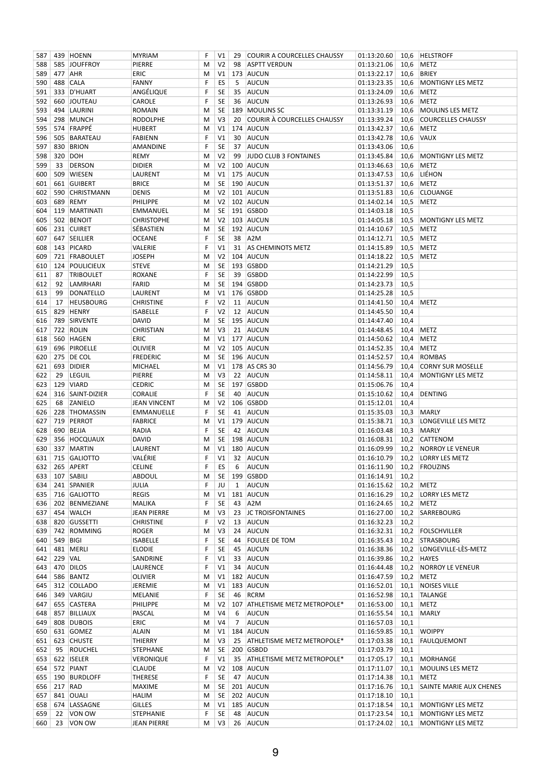| 587        |             | 439 HOENN                 | <b>MYRIAM</b>                          | F      | V1                   | 29             | <b>COURIR A COURCELLES CHAUSSY</b> | 01:13:20.60                | 10,6         | <b>HELSTROFF</b>           |
|------------|-------------|---------------------------|----------------------------------------|--------|----------------------|----------------|------------------------------------|----------------------------|--------------|----------------------------|
| 588        |             | 585 JOUFFROY              | PIERRE                                 | M      | V <sub>2</sub>       | 98             | <b>ASPTT VERDUN</b>                | 01:13:21.06                | 10,6         | <b>METZ</b>                |
| 589        | 477 AHR     |                           | ERIC                                   | М      | V1                   |                | 173 AUCUN                          | 01:13:22.17                | 10,6         | <b>BRIEY</b>               |
| 590        | 488         | <b>CALA</b>               | <b>FANNY</b>                           | F      | ES                   | 5              | <b>AUCUN</b>                       | 01:13:23.35                | 10,6         | <b>MONTIGNY LES METZ</b>   |
| 591        |             | 333 D'HUART               | ANGÉLIQUE                              | F      | SE                   | 35             | AUCUN                              | 01:13:24.09                | 10,6         | <b>METZ</b>                |
| 592        |             | 660 JOUTEAU               | CAROLE                                 | F      | SE                   | 36             | AUCUN                              | 01:13:26.93                | 10,6         | <b>METZ</b>                |
| 593        |             | 494 LAURINI               | <b>ROMAIN</b>                          | M      | SE                   |                | 189 MOULINS SC                     | 01:13:31.19                | 10,6         | <b>MOULINS LES METZ</b>    |
| 594        |             | 298 MUNCH                 | <b>RODOLPHE</b>                        | М      | V3                   | 20             | COURIR À COURCELLES CHAUSSY        | 01:13:39.24                | 10,6         | <b>COURCELLES CHAUSSY</b>  |
| 595        |             | 574 FRAPPÉ                | <b>HUBERT</b>                          | M      | V1                   |                | 174 AUCUN                          | 01:13:42.37                | 10,6         | <b>METZ</b>                |
| 596        | 505         | BARATEAU                  | <b>FABIENN</b>                         | F      | V1                   | 30             | AUCUN                              | 01:13:42.78                | 10,6         | <b>VAUX</b>                |
| 597        | 830         | <b>BRION</b>              | AMANDINE                               | F      | SE                   | 37             | AUCUN                              | 01:13:43.06                | 10,6         |                            |
| 598        | 320         | DOH                       | REMY                                   | M      | V <sub>2</sub>       | 99             | JUDO CLUB 3 FONTAINES              | 01:13:45.84                | 10,6         | MONTIGNY LES METZ          |
| 599        | 33          | <b>DERSON</b>             | <b>DIDIER</b>                          | М      | V <sub>2</sub>       |                | 100 AUCUN                          | 01:13:46.63                | 10,6         | <b>METZ</b>                |
| 600        |             | 509 WIESEN                | LAURENT                                | M      | V1                   |                | 175 AUCUN                          | 01:13:47.53                | 10,6         | LIÉHON                     |
|            |             |                           |                                        |        | SE                   |                | 190 AUCUN                          |                            |              | <b>METZ</b>                |
| 601        | 661         | GUIBERT                   | <b>BRICE</b>                           | M      |                      |                |                                    | 01:13:51.37                | 10,6         |                            |
| 602        | 590         | <b>CHRISTMANN</b>         | <b>DENIS</b>                           | M      | V <sub>2</sub>       |                | 101 AUCUN                          | 01:13:51.83                | 10,6         | <b>CLOUANGE</b>            |
| 603        |             | 689 REMY                  | PHILIPPE                               | M      | V <sub>2</sub>       |                | 102 AUCUN                          | 01:14:02.14                | 10,5         | <b>METZ</b>                |
| 604        | 119         | MARTINATI                 | EMMANUEL                               | М      | SE                   |                | 191 GSBDD                          | 01:14:03.18                | 10,5         |                            |
| 605        |             | 502 BENOIT                | <b>CHRISTOPHE</b>                      | М      | V <sub>2</sub>       |                | 103 AUCUN                          | 01:14:05.18                | 10,5         | <b>MONTIGNY LES METZ</b>   |
| 606        |             | 231 CUIRET                | SÉBASTIEN                              | M      | SE                   |                | 192 AUCUN                          | 01:14:10.67                | 10,5         | <b>METZ</b>                |
| 607        |             | 647 SEILLIER              | <b>OCEANE</b>                          | F      | SE                   | 38             | A <sub>2</sub> M                   | 01:14:12.71                | 10,5         | <b>METZ</b>                |
| 608        |             | 143 PICARD                | VALERIE                                | F      | V1                   | 31             | AS CHEMINOTS METZ                  | 01:14:15.89                | 10,5         | <b>METZ</b>                |
| 609        |             | 721 FRABOULET             | <b>JOSEPH</b>                          | M      | V <sub>2</sub>       |                | 104 AUCUN                          | 01:14:18.22                | 10,5         | <b>METZ</b>                |
| 610        |             | 124 POULICIEUX            | <b>STEVE</b>                           | M      | SE                   |                | 193 GSBDD                          | 01:14:21.29                | 10,5         |                            |
| 611        | 87          | <b>TRIBOULET</b>          | ROXANE                                 | F      | SE                   | 39             | <b>GSBDD</b>                       | 01:14:22.99                | 10,5         |                            |
| 612        | 92          | LAMRHARI                  | <b>FARID</b>                           | M      | SE                   |                | 194 GSBDD                          | 01:14:23.73                | 10,5         |                            |
| 613        | 99          | DONATELLO                 | LAURENT                                | M      | V1                   |                | 176 GSBDD                          | 01:14:25.28                | 10,5         |                            |
| 614        | 17          | <b>HEUSBOURG</b>          | <b>CHRISTINE</b>                       | F      | V <sub>2</sub>       | 11             | AUCUN                              | 01:14:41.50                | 10,4         | METZ                       |
| 615        |             | 829 HENRY                 | <b>ISABELLE</b>                        | F      | V <sub>2</sub>       | 12             | AUCUN                              | 01:14:45.50                | 10,4         |                            |
| 616        | 789         | SIRVENTE                  | <b>DAVID</b>                           | M      | SE                   |                | 195 AUCUN                          | 01:14:47.40                | 10,4         |                            |
|            |             | 722 ROLIN                 |                                        |        | V3                   | 21             | AUCUN                              |                            |              | <b>METZ</b>                |
| 617        |             |                           | <b>CHRISTIAN</b>                       | M      |                      |                |                                    | 01:14:48.45                | 10,4         |                            |
| 618        |             | 560 HAGEN                 | ERIC                                   | М      | V1                   |                | 177 AUCUN                          | 01:14:50.62                | 10,4         | <b>METZ</b>                |
| 619        |             | 696 PIROELLE              | <b>OLIVIER</b>                         | М      | V <sub>2</sub>       |                | 105 AUCUN                          | 01:14:52.35                | 10,4         | <b>METZ</b>                |
| 620        |             | 275 DE COL                | <b>FREDERIC</b>                        | M      | SE                   |                | 196 AUCUN                          | 01:14:52.57                | 10,4         | ROMBAS                     |
| 621        | 693         | <b>DIDIER</b>             | <b>MICHAEL</b>                         | М      | V1                   |                | 178 AS CRS 30                      | 01:14:56.79                | 10,4         | <b>CORNY SUR MOSELLE</b>   |
| 622        | 29          | <b>LEGUIL</b>             | PIERRE                                 | М      | V3                   | 22             | AUCUN                              | 01:14:58.11                | 10,4         | <b>MONTIGNY LES METZ</b>   |
| 623        |             | 129 VIARD                 | <b>CEDRIC</b>                          | M      | SE                   |                | 197 GSBDD                          | 01:15:06.76                | 10,4         |                            |
| 624        | 316         | SAINT-DIZIER              | CORALIE                                | F      | SE                   | 40             | AUCUN                              | 01:15:10.62                | 10,4         | <b>DENTING</b>             |
| 625        | 68          | <b>ZANIELO</b>            | JEAN VINCENT                           | M      | V <sub>2</sub>       |                | 106 GSBDD                          | 01:15:12.01                | 10,4         |                            |
| 626        |             | 228 THOMASSIN             | EMMANUELLE                             | F      | SE                   | 41             | AUCUN                              | 01:15:35.03                | 10,3         | <b>MARLY</b>               |
| 627        | 719         | PERROT                    | <b>FABRICE</b>                         | M      | V1                   |                | 179 AUCUN                          | 01:15:38.71                | 10,3         | LONGEVILLE LES METZ        |
| 628        |             | 690 BEJJA                 | RADIA                                  | F      | SE                   | 42             | AUCUN                              | 01:16:03.48                | 10,3         | MARLY                      |
| 629        |             | 356 HOCQUAUX              | <b>DAVID</b>                           | M      | SE                   |                | 198 AUCUN                          | 01:16:08.31                | 10,2         | CATTENOM                   |
| 630        |             | 337 MARTIN                | LAURENT                                | M      | V1                   |                | 180 AUCUN                          | 01:16:09.99                | 10,2         | NORROY LE VENEUR           |
| 631        |             | 715 GALIOTTO              | VALÉRIE                                | F      | V1                   |                | 32 AUCUN                           | 01:16:10.79                |              | 10,2   LORRY LES METZ      |
|            |             | 632 265 APERT             | <b>CELINE</b>                          | F      |                      |                | $ES$ 6 AUCUN                       | 01:16:11.90 10,2 FROUZINS  |              |                            |
| 633        |             | 107 SABILI                | ABDOUL                                 | м      | SE                   |                | 199 GSBDD                          | 01:16:14.91                | 10,2         |                            |
| 634        |             | 241 SPANIER               | JULIA                                  | F      | JU                   | $\mathbf{1}$   | AUCUN                              | 01:16:15.62                |              | 10,2 METZ                  |
| 635        |             | 716 GALIOTTO              | REGIS                                  | M      | V1                   |                | 181 AUCUN                          | 01:16:16.29                | 10,2         | <b>LORRY LES METZ</b>      |
| 636        |             | 202 BENMEZIANE            | MALIKA                                 | F      | SE                   | 43             | A <sub>2</sub> M                   | 01:16:24.65                | 10,2         | METZ                       |
|            |             |                           |                                        |        |                      | 23             | <b>JC TROISFONTAINES</b>           |                            |              | SARREBOURG                 |
| 637<br>638 |             | 454 WALCH<br>820 GUSSETTI | <b>JEAN PIERRE</b><br><b>CHRISTINE</b> | M<br>F | V3<br>V <sub>2</sub> | 13             | AUCUN                              | 01:16:27.00<br>01:16:32.23 | 10,2<br>10,2 |                            |
|            |             | 742 ROMMING               | roger                                  |        | V3                   | 24             | AUCUN                              | 01:16:32.31                |              | 10,2 FOLSCHVILLER          |
| 639        |             |                           |                                        | M      |                      |                |                                    |                            |              |                            |
| 640        | 549 BIGI    |                           | <b>ISABELLE</b>                        | F      | SE                   | 44             | <b>FOULEE DE TOM</b>               | 01:16:35.43                |              | 10,2 STRASBOURG            |
| 641        |             | 481 MERLI                 | ELODIE                                 | F      | SE                   | 45             | <b>AUCUN</b>                       | 01:16:38.36                |              | 10,2   LONGEVILLE-LÉS-METZ |
| 642        | 229 VAL     |                           | SANDRINE                               | F      | V1                   | 33             | AUCUN                              | 01:16:39.86                |              | 10,2 HAYES                 |
| 643        |             | 470 DILOS                 | LAURENCE                               | F      | V1                   | 34             | <b>AUCUN</b>                       | 01:16:44.48                |              | 10,2 NORROY LE VENEUR      |
| 644        |             | 586 BANTZ                 | <b>OLIVIER</b>                         | M      | V1                   |                | 182 AUCUN                          | 01:16:47.59                | 10,2         | <b>METZ</b>                |
| 645        |             | 312 COLLADO               | JEREMIE                                | M      | V1                   |                | 183 AUCUN                          | 01:16:52.01                | 10,1         | <b>NOISES VILLE</b>        |
| 646        |             | 349 VARGIU                | MELANIE                                | F      | SE                   | 46             | <b>RCRM</b>                        | 01:16:52.98                | 10,1         | TALANGE                    |
| 647        |             | 655 CASTERA               | PHILIPPE                               | M      | V2                   |                | 107   ATHLETISME METZ METROPOLE*   | 01:16:53.00                |              | 10,1 METZ                  |
| 648        |             | 857 BILLIAUX              | PASCAL                                 | M      | V <sub>4</sub>       | 6              | AUCUN                              | 01:16:55.54                | 10,1         | MARLY                      |
| 649        |             | 808 DUBOIS                | ERIC                                   | M      | V4                   | $\overline{7}$ | <b>AUCUN</b>                       | 01:16:57.03                | 10,1         |                            |
| 650        |             | 631 GOMEZ                 | ALAIN                                  | M      | V1                   |                | 184 AUCUN                          | 01:16:59.85                | 10,1         | <b>WOIPPY</b>              |
|            |             | 651   623   CHUSTE        | THIERRY                                | M      | V3                   | 25             | ATHLETISME METZ METROPOLE*         | 01:17:03.38                | 10,1         | FAULQUEMONT                |
| 652        | 95          | ROUCHEL                   | <b>STEPHANE</b>                        | M      | <b>SE</b>            |                | 200 GSBDD                          | 01:17:03.79                | 10,1         |                            |
| 653        |             | 622 ISELER                | VERONIQUE                              | F      | V1                   | 35             | ATHLETISME METZ METROPOLE*         | 01:17:05.17                | 10,1         | MORHANGE                   |
| 654        |             | 572 PIANT                 | <b>CLAUDE</b>                          | M      | V <sub>2</sub>       |                | 108 AUCUN                          | 01:17:11.07                |              | 10,1 MOULINS LES METZ      |
| 655        |             | 190 BURDLOFF              | THERESE                                | F      | SE                   | 47             | AUCUN                              | 01:17:14.38                | 10,1         | <b>METZ</b>                |
|            | 656 217 RAD |                           | MAXIME                                 | M      | <b>SE</b>            |                | 201 AUCUN                          | 01:17:16.76                | 10,1         | SAINTE MARIE AUX CHENES    |
|            |             | 841 OUALI                 | <b>HALIM</b>                           |        | SE                   |                | 202 AUCUN                          | 01:17:18.10                | 10,1         |                            |
| 657        |             |                           |                                        | M      |                      |                |                                    |                            |              |                            |
| 658        |             | 674 LASSAGNE              | <b>GILLES</b>                          | м      | V1                   |                | 185 AUCUN                          | 01:17:18.54                |              | 10,1 MONTIGNY LES METZ     |
| 659        |             | 22 VON OW                 | <b>STEPHANIE</b>                       | F      | SE                   | 48             | AUCUN                              | 01:17:23.54                | 10,1         | MONTIGNY LES METZ          |
| 660        |             | 23 VON OW                 | <b>JEAN PIERRE</b>                     | М      | V3                   |                | 26 AUCUN                           | 01:17:24.02                |              | 10,1 MONTIGNY LES METZ     |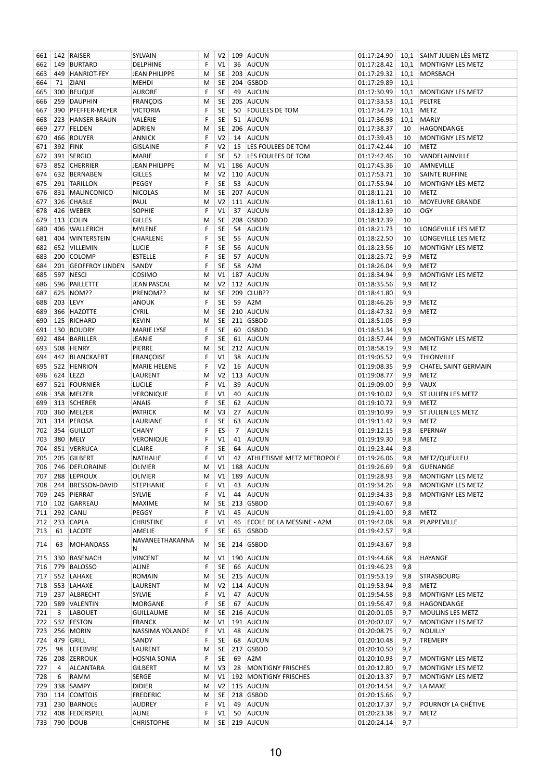| 661 |              | 142 RAISER             | SYLVAIN              | М  | V <sub>2</sub> |    | 109 AUCUN                        | 01:17:24.90 |      | 10,1 SAINT JULIEN LES METZ  |
|-----|--------------|------------------------|----------------------|----|----------------|----|----------------------------------|-------------|------|-----------------------------|
| 662 | 149          | BURTARD                | DELPHINE             | F  | V <sub>1</sub> | 36 | AUCUN                            | 01:17:28.42 | 10,1 | MONTIGNY LES METZ           |
| 663 |              | 449 HANRIOT-FEY        | JEAN PHILIPPE        | M  | <b>SE</b>      |    | 203 AUCUN                        | 01:17:29.32 | 10,1 | MORSBACH                    |
| 664 | 71           | <b>ZIANI</b>           | <b>MEHDI</b>         | м  | <b>SE</b>      |    | 204 GSBDD                        | 01:17:29.89 | 10,1 |                             |
| 665 | 300          | <b>BEUQUE</b>          | <b>AURORE</b>        | F  | <b>SE</b>      | 49 | AUCUN                            | 01:17:30.99 | 10,1 | MONTIGNY LES METZ           |
| 666 |              | 259 DAUPHIN            | <b>FRANÇOIS</b>      | M  | SE             |    | 205 AUCUN                        | 01:17:33.53 | 10,1 | PELTRE                      |
| 667 | 390          | PFEFFER-MEYER          | <b>VICTORIA</b>      | F  | <b>SE</b>      | 50 | <b>FOULEES DE TOM</b>            | 01:17:34.79 | 10,1 | <b>METZ</b>                 |
| 668 |              | 223 HANSER BRAUN       | VALÉRIE              | F  | <b>SE</b>      | 51 | AUCUN                            | 01:17:36.98 | 10,1 | <b>MARLY</b>                |
| 669 |              | 277 FELDEN             | ADRIEN               | M  | SE             |    | 206 AUCUN                        | 01:17:38.37 | 10   | HAGONDANGE                  |
| 670 | 466          | ROUYER                 | <b>ANNICK</b>        | F  | V <sub>2</sub> | 14 | AUCUN                            | 01:17:39.43 | 10   | <b>MONTIGNY LES METZ</b>    |
| 671 |              | 392 FINK               | <b>GISLAINE</b>      | F  | V <sub>2</sub> | 15 | LES FOULEES DE TOM               | 01:17:42.44 | 10   | <b>METZ</b>                 |
| 672 |              | 391 SERGIO             | <b>MARIE</b>         | F  | <b>SE</b>      | 52 | LES FOULEES DE TOM               | 01:17:42.46 | 10   | VANDELAINVILLE              |
| 673 |              | 852 CHERRIER           | <b>JEAN PHILIPPE</b> | M  | V1             |    | 186 AUCUN                        | 01:17:45.36 | 10   | AMNEVILLE                   |
| 674 |              | 632 BERNABEN           | <b>GILLES</b>        | М  | V <sub>2</sub> |    | 110 AUCUN                        | 01:17:53.71 | 10   | <b>SAINTE RUFFINE</b>       |
| 675 |              | 291 TARILLON           | PEGGY                | F  | <b>SE</b>      | 53 | AUCUN                            | 01:17:55.94 | 10   | MONTIGNY-LÈS-METZ           |
| 676 |              | 831 MALINCONICO        | <b>NICOLAS</b>       | M  | SE             |    | 207 AUCUN                        | 01:18:11.21 | 10   | <b>METZ</b>                 |
| 677 |              | 326 CHABLE             | PAUL                 | M  | V <sub>2</sub> |    | 111 AUCUN                        | 01:18:11.61 | 10   | <b>MOYEUVRE GRANDE</b>      |
| 678 |              | 426 WEBER              | <b>SOPHIE</b>        | F  | V <sub>1</sub> | 37 | AUCUN                            | 01:18:12.39 | 10   | OGY                         |
| 679 |              | 113 COLIN              | GILLES               | M  | SE             |    | 208 GSBDD                        | 01:18:12.39 | 10   |                             |
| 680 |              | 406 WALLERICH          | <b>MYLENE</b>        | F  | <b>SE</b>      | 54 | AUCUN                            | 01:18:21.73 | 10   | LONGEVILLE LES METZ         |
| 681 |              | 404 WINTERSTEIN        | CHARLENE             | F  | <b>SE</b>      | 55 | AUCUN                            | 01:18:22.50 | 10   | LONGEVILLE LES METZ         |
| 682 |              | 652 VILLEMIN           | <b>LUCIE</b>         | F  | SE             | 56 | AUCUN                            | 01:18:23.56 | 10   | <b>MONTIGNY LES METZ</b>    |
| 683 |              | 200 COLOMP             | <b>ESTELLE</b>       | F  | SE             | 57 | AUCUN                            | 01:18:25.72 | 9,9  | <b>METZ</b>                 |
| 684 |              | 201 GEOFFROY LINDEN    | SANDY                | F  | SE             | 58 | A <sub>2</sub> M                 | 01:18:26.04 | 9,9  | <b>METZ</b>                 |
| 685 |              | 597 NESCI              | <b>COSIMO</b>        | M  | V1             |    | 187 AUCUN                        | 01:18:34.94 | 9,9  | <b>MONTIGNY LES METZ</b>    |
| 686 |              | 596 PAILLETTE          | <b>JEAN PASCAL</b>   | M  | V <sub>2</sub> |    | 112 AUCUN                        | 01:18:35.56 | 9,9  | <b>METZ</b>                 |
| 687 | 625          | NOM??                  | PRENOM??             | M  | SE             |    | 209 CLUB??                       | 01:18:41.80 | 9,9  |                             |
| 688 |              | 203 LEVY               | <b>ANOUK</b>         | F  | SE             | 59 | A <sub>2</sub> M                 | 01:18:46.26 | 9,9  | <b>METZ</b>                 |
| 689 |              | 366 HAZOTTE            | <b>CYRIL</b>         | M  | SE             |    | 210 AUCUN                        | 01:18:47.32 | 9,9  | <b>METZ</b>                 |
| 690 |              | 125 RICHARD            | <b>KEVIN</b>         | M  | SE             |    | 211 GSBDD                        | 01:18:51.05 | 9,9  |                             |
| 691 |              | 130 BOUDRY             | <b>MARIE LYSE</b>    | F  | <b>SE</b>      | 60 | <b>GSBDD</b>                     | 01:18:51.34 | 9,9  |                             |
| 692 |              | 484 BARILLER           | <b>JEANIE</b>        | F  | <b>SE</b>      | 61 | AUCUN                            | 01:18:57.44 | 9,9  | <b>MONTIGNY LES METZ</b>    |
| 693 |              | 508 HENRY              | PIERRE               | M  | SE             |    | 212 AUCUN                        | 01:18:58.19 | 9,9  | <b>METZ</b>                 |
| 694 |              | 442 BLANCKAERT         | <b>FRANÇOISE</b>     | F  | V1             | 38 | AUCUN                            | 01:19:05.52 | 9,9  | <b>THIONVILLE</b>           |
| 695 |              | 522 HENRION            | <b>MARIE HELENE</b>  | F  | V <sub>2</sub> | 16 | AUCUN                            | 01:19:08.35 | 9,9  | <b>CHATEL SAINT GERMAIN</b> |
| 696 |              | 624 LEZZI              | LAURENT              | М  | V <sub>2</sub> |    | 113 AUCUN                        | 01:19:08.77 | 9,9  | <b>METZ</b>                 |
| 697 |              | 521 FOURNIER           | <b>LUCILE</b>        | F  | V1             | 39 | AUCUN                            | 01:19:09.00 | 9,9  | <b>VAUX</b>                 |
| 698 |              | 358 MELZER             | <b>VERONIQUE</b>     | F  | V1             | 40 | AUCUN                            | 01:19:10.02 | 9,9  | <b>ST JULIEN LES METZ</b>   |
| 699 |              | 313 SCHERER            | ANAIS                | F  | SE             | 62 | AUCUN                            | 01:19:10.72 | 9,9  | <b>METZ</b>                 |
| 700 |              | 360 MELZER             | PATRICK              | M  | V3             | 27 | AUCUN                            | 01:19:10.99 | 9,9  | ST JULIEN LES METZ          |
| 701 |              | 314 PEROSA             | LAURIANE             | F  | SE             | 63 | AUCUN                            | 01:19:11.42 | 9,9  | <b>METZ</b>                 |
| 702 |              | 354 GUILLOT            | <b>CHANY</b>         | F  | ES             | 7  | <b>AUCUN</b>                     | 01:19:12.15 | 9,8  | EPERNAY                     |
| 703 |              | 380 MELY               | <b>VERONIQUE</b>     | F  | V1             | 41 | AUCUN                            | 01:19:19.30 | 9,8  | <b>METZ</b>                 |
| 704 |              | 851 VERRUCA            | <b>CLAIRE</b>        | F  | <b>SE</b>      | 64 | AUCUN                            | 01:19:23.44 | 9,8  |                             |
| 705 |              | 205 GILBERT            | <b>NATHALIE</b>      | F  | V1             | 42 | <b>ATHLETISME METZ METROPOLE</b> | 01:19:26.06 | 9,8  | METZ/QUEULEU                |
|     |              | 706 746 DEFLORAINE     | <b>OLIVIER</b>       | M  | V1             |    | 188 AUCUN                        | 01:19:26.69 |      | 9,8 GUENANGE                |
|     |              | 707   288   LEPROUX    | <b>OLIVIER</b>       | М  | V1             |    | 189 AUCUN                        | 01:19:28.93 | 9,8  | <b>MONTIGNY LES METZ</b>    |
|     |              | 708 244 BRESSON-DAVID  | STEPHANIE            | F  | V1             | 43 | AUCUN                            | 01:19:34.26 | 9,8  | <b>MONTIGNY LES METZ</b>    |
|     |              | 709 245 PIERRAT        | SYLVIE               | F  | V1             | 44 | <b>AUCUN</b>                     | 01:19:34.33 | 9,8  | MONTIGNY LES METZ           |
|     |              | 710   102   GARREAU    | MAXIME               | M  | SE             |    | 213 GSBDD                        | 01:19:40.67 | 9,8  |                             |
| 711 |              | 292 CANU               | PEGGY                | F  | V1             | 45 | AUCUN                            | 01:19:41.00 | 9,8  | METZ                        |
|     |              | 712 233 CAPLA          | CHRISTINE            | F  | V1             | 46 | ECOLE DE LA MESSINE - A2M        | 01:19:42.08 | 9,8  | PLAPPEVILLE                 |
| 713 | 61           | <b>LACOTE</b>          | AMELIE               | F  | SE             | 65 | <b>GSBDD</b>                     | 01:19:42.57 | 9,8  |                             |
| 714 | 63           | <b>MOHANDASS</b>       | NAVANEETHAKANNA      | M  | SE             |    | 214 GSBDD                        | 01:19:43.67 | 9,8  |                             |
|     |              |                        | N                    |    |                |    |                                  |             |      |                             |
|     |              | 715 330 BASENACH       | <b>VINCENT</b>       | M  | V1             |    | 190 AUCUN                        | 01:19:44.68 | 9,8  | <b>HAYANGE</b>              |
|     |              | 716 779 BALOSSO        | ALINE                | F  | SE             | 66 | AUCUN                            | 01:19:46.23 | 9,8  |                             |
|     |              | 717 552 LAHAXE         | ROMAIN               | M  | SE             |    | 215 AUCUN                        | 01:19:53.19 | 9,8  | <b>STRASBOURG</b>           |
|     |              | 718 553 LAHAXE         | LAURENT              | M  | V <sub>2</sub> |    | 114 AUCUN                        | 01:19:53.94 | 9,8  | <b>METZ</b>                 |
|     |              | 719 237 ALBRECHT       | SYLVIE               | F  | V1             | 47 | <b>AUCUN</b>                     | 01:19:54.58 | 9,8  | <b>MONTIGNY LES METZ</b>    |
|     |              | 720   589   VALENTIN   | MORGANE              | F  | SE             | 67 | AUCUN                            | 01:19:56.47 | 9,8  | HAGONDANGE                  |
| 721 | $\mathbf{3}$ | <b>LABOUET</b>         | GUILLAUME            | M  | SE             |    | 216 AUCUN                        | 01:20:01.05 | 9,7  | <b>MOULINS LES METZ</b>     |
|     |              | 722 532 FESTON         | <b>FRANCK</b>        | M  | V1             |    | 191 AUCUN                        | 01:20:02.07 | 9,7  | MONTIGNY LES METZ           |
|     |              | 723 256 MORIN          | NASSIMA YOLANDE      | F. | V1             | 48 | AUCUN                            | 01:20:08.75 | 9,7  | NOUILLY                     |
|     |              | 724 479 GRILL          | SANDY                | F  | SE             | 68 | AUCUN                            | 01:20:10.48 | 9,7  | <b>TREMERY</b>              |
| 725 | 98           | <b>LEFEBVRE</b>        | LAURENT              | М  | SE             |    | 217 GSBDD                        | 01:20:10.50 | 9,7  |                             |
|     |              | 726   208   ZERROUK    | <b>HOSNIA SONIA</b>  | F. | SE             | 69 | A <sub>2</sub> M                 | 01:20:10.93 | 9,7  | MONTIGNY LES METZ           |
| 727 | 4            | <b>ALCANTARA</b>       | GILBERT              | M  | V <sub>3</sub> | 28 | MONTIGNY FRISCHES                | 01:20:12.80 | 9,7  | MONTIGNY LES METZ           |
| 728 | 6            | RAMM                   | SERGE                | M  | V1             |    | 192 MONTIGNY FRISCHES            | 01:20:13.37 | 9,7  | <b>MONTIGNY LES METZ</b>    |
|     |              | 729 338 SAMPY          | <b>DIDIER</b>        | М  | V <sub>2</sub> |    | 115 AUCUN                        | 01:20:14.54 | 9,7  | LA MAXE                     |
|     |              | 730   114   COMTOIS    | <b>FREDERIC</b>      | м  | <b>SE</b>      |    | 218 GSBDD                        | 01:20:15.66 | 9,7  |                             |
|     |              | 731 230 BARNOLE        | <b>AUDREY</b>        | F  | V1             | 49 | <b>AUCUN</b>                     | 01:20:17.37 | 9,7  | POURNOY LA CHÉTIVE          |
|     |              | 732   408   FEDERSPIEL | ALINE                | F. | V1             | 50 | AUCUN                            | 01:20:23.38 | 9,7  | <b>METZ</b>                 |
|     |              | 733 790 DOUB           | <b>CHRISTOPHE</b>    | М  |                |    | SE   219   AUCUN                 | 01:20:24.14 | 9,7  |                             |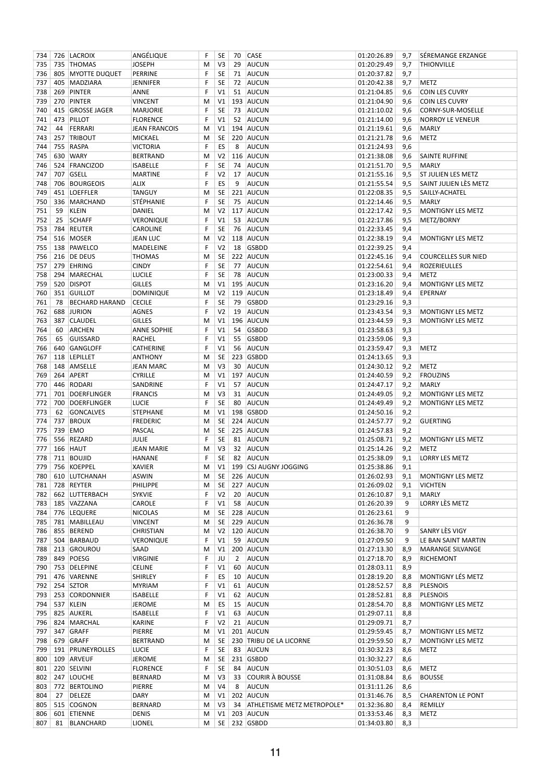| 734 |           | 726 LACROIX                      | ANGÉLIQUE            | F | SE             | 70             | <b>CASE</b>                  | 01:20:26.89       | 9,7 | SÉREMANGE ERZANGE          |
|-----|-----------|----------------------------------|----------------------|---|----------------|----------------|------------------------------|-------------------|-----|----------------------------|
| 735 | 735       | <b>THOMAS</b>                    | <b>JOSEPH</b>        | M | V3             | 29             | <b>AUCUN</b>                 | 01:20:29.49       | 9,7 | <b>THIONVILLE</b>          |
| 736 |           | 805 MYOTTE DUQUET                | PERRINE              | F | <b>SE</b>      | 71             | AUCUN                        | 01:20:37.82       | 9,7 |                            |
| 737 |           | 405 MADZIARA                     | <b>JENNIFER</b>      | F | <b>SE</b>      | 72             | AUCUN                        | 01:20:42.38       | 9,7 | METZ                       |
| 738 | 269       | PINTER                           | ANNE                 | F | V <sub>1</sub> | 51             | AUCUN                        | 01:21:04.85       | 9,6 | <b>COIN LES CUVRY</b>      |
| 739 |           | 270 PINTER                       | <b>VINCENT</b>       | M | V1             |                | 193 AUCUN                    | 01:21:04.90       | 9,6 | <b>COIN LES CUVRY</b>      |
| 740 | 415       | <b>GROSSE JAGER</b>              | MARJORIE             | F | <b>SE</b>      | 73             | AUCUN                        | 01:21:10.02       | 9,6 | CORNY-SUR-MOSELLE          |
| 741 |           | 473 PILLOT                       | <b>FLORENCE</b>      | F | V <sub>1</sub> | 52             | AUCUN                        | 01:21:14.00       | 9,6 | <b>NORROY LE VENEUR</b>    |
| 742 | 44        | FERRARI                          | <b>JEAN FRANCOIS</b> | M | V1             |                | 194 AUCUN                    | 01:21:19.61       | 9,6 | <b>MARLY</b>               |
| 743 | 257       | TRIBOUT                          | MICKAEL              | М | SE             |                | 220 AUCUN                    | 01:21:21.78       | 9,6 | METZ                       |
| 744 | 755       | RASPA                            | <b>VICTORIA</b>      | F | ES             | 8              | <b>AUCUN</b>                 | 01:21:24.93       | 9,6 |                            |
| 745 |           | 630 WARY                         | <b>BERTRAND</b>      | M | V <sub>2</sub> |                | 116 AUCUN                    | 01:21:38.08       | 9,6 | <b>SAINTE RUFFINE</b>      |
| 746 |           | 524 FRANCIZOD                    | <b>ISABELLE</b>      | F | <b>SE</b>      | 74             | AUCUN                        | 01:21:51.70       | 9,5 | <b>MARLY</b>               |
| 747 | 707       | GSELL                            | <b>MARTINE</b>       | F | V <sub>2</sub> | 17             | AUCUN                        | 01:21:55.16       | 9,5 | ST JULIEN LES METZ         |
| 748 |           | 706 BOURGEOIS                    | ALIX                 | F | ES             | 9              | <b>AUCUN</b>                 | 01:21:55.54       | 9,5 | SAINT JULIEN LÈS METZ      |
| 749 | 451       | <b>LOEFFLER</b>                  | <b>TANGUY</b>        | M | <b>SE</b>      |                | 221 AUCUN                    | 01:22:08.35       | 9,5 | SAILLY-ACHATEL             |
| 750 |           | 336 MARCHAND                     | STÉPHANIE            | F | <b>SE</b>      | 75             | AUCUN                        | 01:22:14.46       | 9,5 | <b>MARLY</b>               |
| 751 | 59        | <b>KLEIN</b>                     | DANIEL               | M | V <sub>2</sub> |                | 117 AUCUN                    | 01:22:17.42       | 9,5 | MONTIGNY LES METZ          |
| 752 | 25        | <b>SCHAFF</b>                    | VERONIQUE            | F | V <sub>1</sub> | 53             | AUCUN                        | 01:22:17.86       | 9,5 | METZ/BORNY                 |
| 753 |           | 784 REUTER                       | CAROLINE             | F | <b>SE</b>      | 76             | AUCUN                        | 01:22:33.45       | 9,4 |                            |
| 754 |           | 516 MOSER                        | <b>JEAN LUC</b>      | M | V <sub>2</sub> |                | 118 AUCUN                    | 01:22:38.19       | 9,4 | MONTIGNY LES METZ          |
| 755 |           | 138 PAWELCO                      | MADELEINE            | F | V <sub>2</sub> | 18             | <b>GSBDD</b>                 | 01:22:39.25       | 9,4 |                            |
| 756 |           | 216 DE DEUS                      | <b>THOMAS</b>        | M | <b>SE</b>      |                | 222 AUCUN                    | 01:22:45.16       | 9,4 | <b>COURCELLES SUR NIED</b> |
| 757 |           | 279 EHRING                       | <b>CINDY</b>         | F | <b>SE</b>      | 77             | <b>AUCUN</b>                 | 01:22:54.61       | 9,4 | ROZERIEULLES               |
| 758 |           | 294 MARECHAL                     | <b>LUCILE</b>        | F | <b>SE</b>      | 78             | AUCUN                        | 01:23:00.33       | 9,4 | METZ                       |
| 759 |           | 520 DISPOT                       | <b>GILLES</b>        | M | V1             |                | 195 AUCUN                    | 01:23:16.20       | 9,4 | MONTIGNY LES METZ          |
| 760 | 351       | <b>GUILLOT</b>                   | <b>DOMINIQUE</b>     | M | V <sub>2</sub> |                | 119 AUCUN                    | 01:23:18.49       | 9,4 | <b>EPERNAY</b>             |
| 761 | 78        | <b>BECHARD HARAND</b>            | <b>CECILE</b>        | F | <b>SE</b>      | 79             | <b>GSBDD</b>                 | 01:23:29.16       | 9,3 |                            |
| 762 |           | 688 JURION                       | AGNES                | F | V <sub>2</sub> | 19             | <b>AUCUN</b>                 | 01:23:43.54       | 9,3 | MONTIGNY LES METZ          |
| 763 | 387       | <b>CLAUDEL</b>                   | <b>GILLES</b>        | M | V1             |                | 196 AUCUN                    | 01:23:44.59       | 9,3 | MONTIGNY LES METZ          |
| 764 | 60        | <b>ARCHEN</b>                    | <b>ANNE SOPHIE</b>   | F | V <sub>1</sub> | 54             | <b>GSBDD</b>                 | 01:23:58.63       | 9,3 |                            |
| 765 | 65        | <b>GUISSARD</b>                  | RACHEL               | F | V <sub>1</sub> | 55             | <b>GSBDD</b>                 | 01:23:59.06       | 9,3 |                            |
| 766 | 640       | GANGLOFF                         | CATHERINE            | F | V <sub>1</sub> | 56             | AUCUN                        | 01:23:59.47       | 9,3 | METZ                       |
| 767 |           | 118 LEPILLET                     | <b>ANTHONY</b>       | M | SE             |                | 223 GSBDD                    | 01:24:13.65       | 9,3 |                            |
| 768 |           | 148 AMSELLE                      | <b>JEAN MARC</b>     | M | V3             | 30             | AUCUN                        | 01:24:30.12       | 9,2 | <b>METZ</b>                |
| 769 |           | 264 APERT                        | CYRILLE              | M | V1             |                | 197 AUCUN                    | 01:24:40.59       | 9,2 | <b>FROUZINS</b>            |
| 770 |           | 446 RODARI                       | SANDRINE             | F | V <sub>1</sub> | 57             | AUCUN                        | 01:24:47.17       | 9,2 | <b>MARLY</b>               |
| 771 | 701       | DOERFLINGER                      |                      | M | V3             | 31             | AUCUN                        | 01:24:49.05       |     |                            |
|     |           | DOERFLINGER                      | <b>FRANCIS</b>       | F | <b>SE</b>      | 80             |                              |                   | 9,2 | MONTIGNY LES METZ          |
| 772 | 700<br>62 |                                  | <b>LUCIE</b>         |   | V1             |                | AUCUN                        | 01:24:49.49       | 9,2 | MONTIGNY LES METZ          |
| 773 |           | <b>GONCALVES</b><br><b>BROUX</b> | STEPHANE             | M |                |                | 198 GSBDD                    | 01:24:50.16       | 9,2 |                            |
| 774 | 737       |                                  | <b>FREDERIC</b>      | M | SE             |                | 224 AUCUN                    | 01:24:57.77       | 9,2 | <b>GUERTING</b>            |
| 775 | 739       | EMO                              | PASCAL               | M | SE             |                | 225 AUCUN                    | 01:24:57.83       | 9,2 |                            |
| 776 |           | 556 REZARD                       | <b>JULIE</b>         | F | SE             | 81             | AUCUN                        | 01:25:08.71       | 9,2 | MONTIGNY LES METZ          |
| 777 |           | 166 HAUT                         | <b>JEAN MARIE</b>    | M | V3             |                | 32 AUCUN                     | 01:25:14.26       | 9,2 | METZ                       |
| 778 |           | 711 BOUJID                       | HANANE               | F | SE             |                | 82 AUCUN                     | 01:25:38.09       | 9,1 | <b>LORRY LES METZ</b>      |
|     |           | 779 756 KOEPPEL                  | <b>XAVIER</b>        | M |                |                | V1   199   CSJ AUGNY JOGGING | $01:25:38.86$ 9,1 |     |                            |
|     |           | 780 610 LUTCHANAH                | ASWIN                | M | SE             |                | 226 AUCUN                    | 01:26:02.93       | 9,1 | MONTIGNY LES METZ          |
| 781 |           | 728 REYTER                       | PHILIPPE             | M | <b>SE</b>      |                | 227 AUCUN                    | 01:26:09.02       | 9,1 | <b>VICHTEN</b>             |
| 782 |           | 662 LUTTERBACH                   | <b>SYKVIE</b>        | F | V <sub>2</sub> | 20             | AUCUN                        | 01:26:10.87       | 9,1 | <b>MARLY</b>               |
| 783 |           | 185 VAZZANA                      | CAROLE               | F | V1             | 58             | AUCUN                        | 01:26:20.39       | 9   | LORRY LÈS METZ             |
| 784 |           | 776 LEQUERE                      | <b>NICOLAS</b>       | M | <b>SE</b>      |                | 228 AUCUN                    | 01:26:23.61       | 9   |                            |
| 785 |           | 781 MABILLEAU                    | VINCENT              | M | <b>SE</b>      |                | 229 AUCUN                    | 01:26:36.78       | 9   |                            |
|     |           | 786 855 BEREND                   | CHRISTIAN            | M | V <sub>2</sub> |                | 120 AUCUN                    | 01:26:38.70       | 9   | SANRY LÈS VIGY             |
| 787 |           | 504 BARBAUD                      | Veronique            | F | V1             | 59             | AUCUN                        | 01:27:09.50       | 9   | LE BAN SAINT MARTIN        |
| 788 |           | 213 GROUROU                      | SAAD                 | M | V1             |                | 200 AUCUN                    | 01:27:13.30       | 8,9 | MARANGE SILVANGE           |
|     |           | 789 849 POESG                    | VIRGINIE             | F | JU             | $\overline{2}$ | AUCUN                        | 01:27:18.70       | 8,9 | RICHEMONT                  |
|     |           | 790 753 DELEPINE                 | CELINE               | F | V1             | 60             | AUCUN                        | 01:28:03.11       | 8,9 |                            |
| 791 |           | 476 VARENNE                      | <b>SHIRLEY</b>       | F | ES             | 10             | AUCUN                        | 01:28:19.20       | 8,8 | MONTIGNY LÉS METZ          |
|     |           | 792 254 SZTOR                    | <b>MYRIAM</b>        | F | V1             | 61             | AUCUN                        | 01:28:52.57       | 8,8 | <b>PLESNOIS</b>            |
| 793 |           | 253 CORDONNIER                   | <b>ISABELLE</b>      | F | V1             | 62             | AUCUN                        | 01:28:52.81       | 8,8 | <b>PLESNOIS</b>            |
| 794 |           | 537 KLEIN                        | <b>JEROME</b>        | M | ES             | 15             | AUCUN                        | 01:28:54.70       | 8,8 | MONTIGNY LES METZ          |
| 795 |           | 825 AUKERL                       | ISABELLE             | F | V1             | 63             | AUCUN                        | 01:29:07.11       | 8,8 |                            |
|     |           | 796 824 MARCHAL                  | KARINE               | F | V <sub>2</sub> | 21             | AUCUN                        | 01:29:09.71       | 8,7 |                            |
| 797 |           | 347 GRAFF                        | PIERRE               | M | V1             |                | 201 AUCUN                    | 01:29:59.45       | 8,7 | MONTIGNY LES METZ          |
| 798 |           | 679 GRAFF                        | <b>BERTRAND</b>      | M | <b>SE</b>      |                | 230 TRIBU DE LA LICORNE      | 01:29:59.50       | 8,7 | MONTIGNY LES METZ          |
| 799 |           | 191 PRUNEYROLLES                 | <b>LUCIE</b>         | F | <b>SE</b>      | 83             | AUCUN                        | 01:30:32.23       | 8,6 | METZ                       |
| 800 |           | 109 ARVEUF                       | JEROME               | M | <b>SE</b>      |                | 231 GSBDD                    | 01:30:32.27       | 8,6 |                            |
| 801 |           | 220 SELVINI                      | <b>FLORENCE</b>      | F | <b>SE</b>      | 84             | AUCUN                        | 01:30:51.03       | 8,6 | METZ                       |
| 802 |           | 247 LOUCHE                       | BERNARD              | M | V3             | 33             | COURIR À BOUSSE              | 01:31:08.84       | 8,6 | <b>BOUSSE</b>              |
|     |           | 803 772 BERTOLINO                | PIERRE               | M | V4             | 8              | AUCUN                        | 01:31:11.26       | 8,6 |                            |
| 804 | 27        | <b>DELEZE</b>                    | DARY                 | M | V1             |                | 202 AUCUN                    | 01:31:46.76       | 8,5 | <b>CHARENTON LE PONT</b>   |
| 805 |           | 515 COGNON                       | <b>BERNARD</b>       | M | V3             | 34             | ATHLETISME METZ METROPOLE*   | 01:32:36.80       | 8,4 | REMILLY                    |
| 806 |           | 601 ETIENNE                      | DENIS                | М | V1             |                | 203 AUCUN                    | 01:33:53.46       | 8,3 | METZ                       |
| 807 |           | 81 BLANCHARD                     | LIONEL               | М |                |                | SE 232 GSBDD                 | 01:34:03.80       | 8,3 |                            |
|     |           |                                  |                      |   |                |                |                              |                   |     |                            |